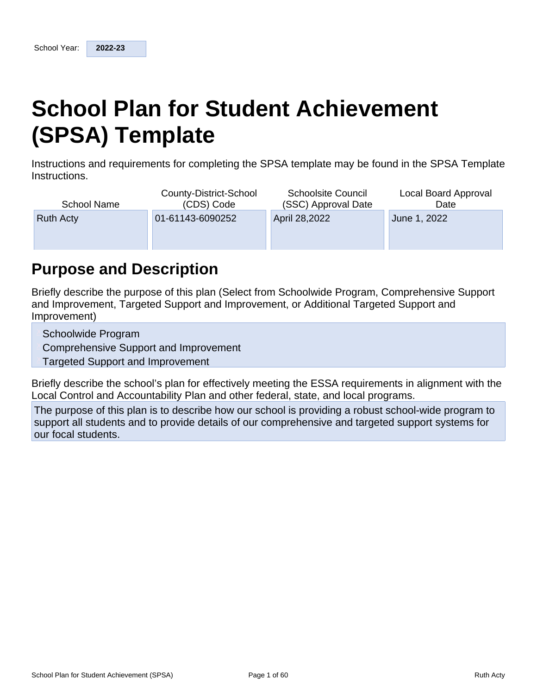# **School Plan for Student Achievement (SPSA) Template**

Instructions and requirements for completing the SPSA template may be found in the SPSA Template Instructions.

| <b>School Name</b> | County-District-School<br>(CDS) Code | <b>Schoolsite Council</b><br>(SSC) Approval Date | Local Board Approval<br>Date |
|--------------------|--------------------------------------|--------------------------------------------------|------------------------------|
| <b>Ruth Acty</b>   | 01-61143-6090252                     | April 28,2022                                    | June 1, 2022                 |
|                    |                                      |                                                  |                              |

## **Purpose and Description**

Briefly describe the purpose of this plan (Select from Schoolwide Program, Comprehensive Support and Improvement, Targeted Support and Improvement, or Additional Targeted Support and Improvement)

Schoolwide Program

Comprehensive Support and Improvement

**Targeted Support and Improvement** 

Briefly describe the school's plan for effectively meeting the ESSA requirements in alignment with the Local Control and Accountability Plan and other federal, state, and local programs.

The purpose of this plan is to describe how our school is providing a robust school-wide program to support all students and to provide details of our comprehensive and targeted support systems for our focal students.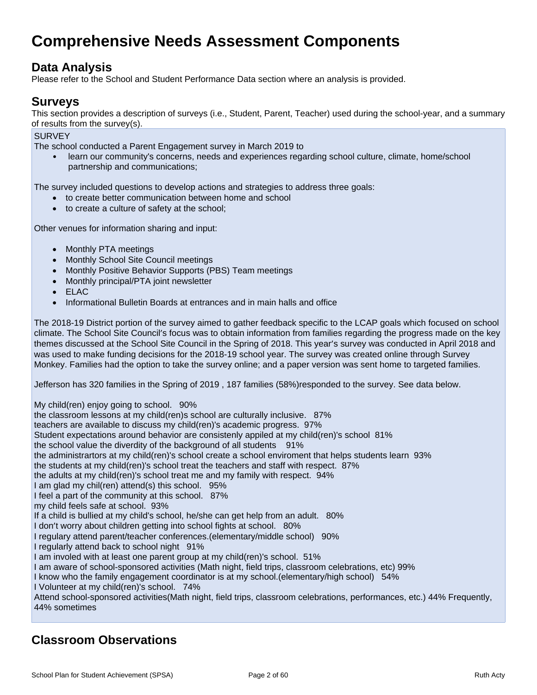## **Comprehensive Needs Assessment Components**

## **Data Analysis**

Please refer to the School and Student Performance Data section where an analysis is provided.

## **Surveys**

This section provides a description of surveys (i.e., Student, Parent, Teacher) used during the school-year, and a summary of results from the survey(s).

**SURVEY** 

The school conducted a Parent Engagement survey in March 2019 to

• learn our community's concerns, needs and experiences regarding school culture, climate, home/school partnership and communications;

The survey included questions to develop actions and strategies to address three goals:

- to create better communication between home and school
- to create a culture of safety at the school;

Other venues for information sharing and input:

- Monthly PTA meetings
- Monthly School Site Council meetings
- Monthly Positive Behavior Supports (PBS) Team meetings
- Monthly principal/PTA joint newsletter
- $\bullet$  FLAC
- Informational Bulletin Boards at entrances and in main halls and office

The 2018-19 District portion of the survey aimed to gather feedback specific to the LCAP goals which focused on school climate. The School Site Council's focus was to obtain information from families regarding the progress made on the key themes discussed at the School Site Council in the Spring of 2018. This year's survey was conducted in April 2018 and was used to make funding decisions for the 2018-19 school year. The survey was created online through Survey Monkey. Families had the option to take the survey online; and a paper version was sent home to targeted families.

Jefferson has 320 families in the Spring of 2019 , 187 families (58%)responded to the survey. See data below.

My child(ren) enjoy going to school. 90% the classroom lessons at my child(ren)s school are culturally inclusive. 87% teachers are available to discuss my child(ren)'s academic progress. 97% Student expectations around behavior are consistenly appiled at my child(ren)'s school 81% the school value the diverdity of the background of all students 91% the administrartors at my child(ren)'s school create a school enviroment that helps students learn 93% the students at my child(ren)'s school treat the teachers and staff with respect. 87% the adults at my child(ren)'s school treat me and my family with respect. 94% I am glad my chil(ren) attend(s) this school. 95% I feel a part of the community at this school. 87% my child feels safe at school. 93% If a child is bullied at my child's school, he/she can get help from an adult. 80% I don't worry about children getting into school fights at school. 80% I regulary attend parent/teacher conferences.(elementary/middle school) 90% I regularly attend back to school night 91% I am involed with at least one parent group at my child(ren)'s school. 51% I am aware of school-sponsored activities (Math night, field trips, classroom celebrations, etc) 99% I know who the family engagement coordinator is at my school.(elementary/high school) 54% I Volunteer at my child(ren)'s school. 74% Attend school-sponsored activities(Math night, field trips, classroom celebrations, performances, etc.) 44% Frequently, 44% sometimes

## **Classroom Observations**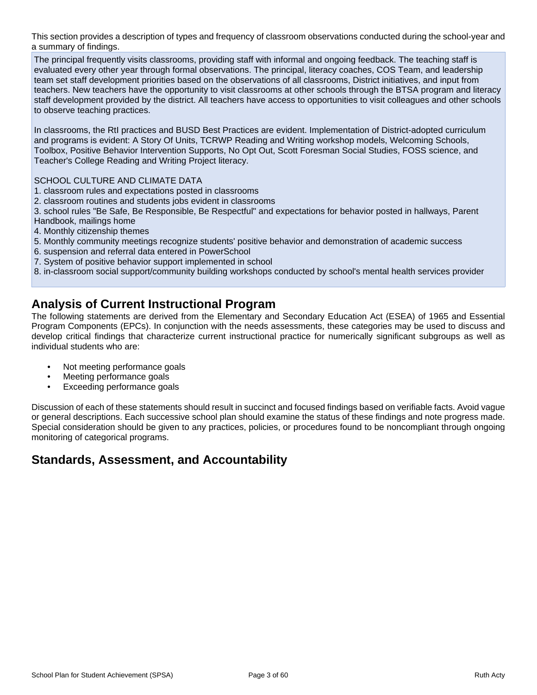This section provides a description of types and frequency of classroom observations conducted during the school-year and a summary of findings.

The principal frequently visits classrooms, providing staff with informal and ongoing feedback. The teaching staff is evaluated every other year through formal observations. The principal, literacy coaches, COS Team, and leadership team set staff development priorities based on the observations of all classrooms, District initiatives, and input from teachers. New teachers have the opportunity to visit classrooms at other schools through the BTSA program and literacy staff development provided by the district. All teachers have access to opportunities to visit colleagues and other schools to observe teaching practices.

In classrooms, the RtI practices and BUSD Best Practices are evident. Implementation of District-adopted curriculum and programs is evident: A Story Of Units, TCRWP Reading and Writing workshop models, Welcoming Schools, Toolbox, Positive Behavior Intervention Supports, No Opt Out, Scott Foresman Social Studies, FOSS science, and Teacher's College Reading and Writing Project literacy.

SCHOOL CULTURE AND CLIMATE DATA

- 1. classroom rules and expectations posted in classrooms
- 2. classroom routines and students jobs evident in classrooms

3. school rules "Be Safe, Be Responsible, Be Respectful" and expectations for behavior posted in hallways, Parent Handbook, mailings home

- 4. Monthly citizenship themes
- 5. Monthly community meetings recognize students' positive behavior and demonstration of academic success
- 6. suspension and referral data entered in PowerSchool
- 7. System of positive behavior support implemented in school
- 8. in-classroom social support/community building workshops conducted by school's mental health services provider

## **Analysis of Current Instructional Program**

The following statements are derived from the Elementary and Secondary Education Act (ESEA) of 1965 and Essential Program Components (EPCs). In conjunction with the needs assessments, these categories may be used to discuss and develop critical findings that characterize current instructional practice for numerically significant subgroups as well as individual students who are:

- Not meeting performance goals
- Meeting performance goals
- Exceeding performance goals

Discussion of each of these statements should result in succinct and focused findings based on verifiable facts. Avoid vague or general descriptions. Each successive school plan should examine the status of these findings and note progress made. Special consideration should be given to any practices, policies, or procedures found to be noncompliant through ongoing monitoring of categorical programs.

## **Standards, Assessment, and Accountability**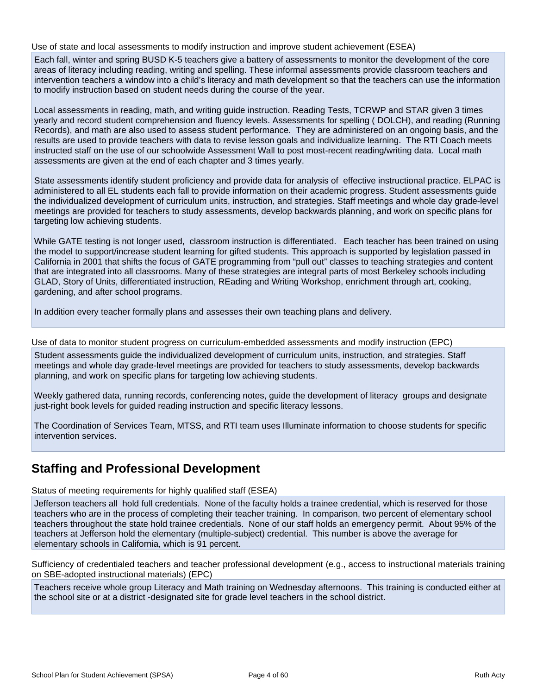Use of state and local assessments to modify instruction and improve student achievement (ESEA)

Each fall, winter and spring BUSD K-5 teachers give a battery of assessments to monitor the development of the core areas of literacy including reading, writing and spelling. These informal assessments provide classroom teachers and intervention teachers a window into a child's literacy and math development so that the teachers can use the information to modify instruction based on student needs during the course of the year.

Local assessments in reading, math, and writing guide instruction. Reading Tests, TCRWP and STAR given 3 times yearly and record student comprehension and fluency levels. Assessments for spelling ( DOLCH), and reading (Running Records), and math are also used to assess student performance. They are administered on an ongoing basis, and the results are used to provide teachers with data to revise lesson goals and individualize learning. The RTI Coach meets instructed staff on the use of our schoolwide Assessment Wall to post most-recent reading/writing data. Local math assessments are given at the end of each chapter and 3 times yearly.

State assessments identify student proficiency and provide data for analysis of effective instructional practice. ELPAC is administered to all EL students each fall to provide information on their academic progress. Student assessments guide the individualized development of curriculum units, instruction, and strategies. Staff meetings and whole day grade-level meetings are provided for teachers to study assessments, develop backwards planning, and work on specific plans for targeting low achieving students.

While GATE testing is not longer used, classroom instruction is differentiated. Each teacher has been trained on using the model to support/increase student learning for gifted students. This approach is supported by legislation passed in California in 2001 that shifts the focus of GATE programming from "pull out" classes to teaching strategies and content that are integrated into all classrooms. Many of these strategies are integral parts of most Berkeley schools including GLAD, Story of Units, differentiated instruction, REading and Writing Workshop, enrichment through art, cooking, gardening, and after school programs.

In addition every teacher formally plans and assesses their own teaching plans and delivery.

Use of data to monitor student progress on curriculum-embedded assessments and modify instruction (EPC)

Student assessments guide the individualized development of curriculum units, instruction, and strategies. Staff meetings and whole day grade-level meetings are provided for teachers to study assessments, develop backwards planning, and work on specific plans for targeting low achieving students.

Weekly gathered data, running records, conferencing notes, guide the development of literacy groups and designate just-right book levels for guided reading instruction and specific literacy lessons.

The Coordination of Services Team, MTSS, and RTI team uses Illuminate information to choose students for specific intervention services.

## **Staffing and Professional Development**

Status of meeting requirements for highly qualified staff (ESEA)

Jefferson teachers all hold full credentials. None of the faculty holds a trainee credential, which is reserved for those teachers who are in the process of completing their teacher training. In comparison, two percent of elementary school teachers throughout the state hold trainee credentials. None of our staff holds an emergency permit. About 95% of the teachers at Jefferson hold the elementary (multiple-subject) credential. This number is above the average for elementary schools in California, which is 91 percent.

Sufficiency of credentialed teachers and teacher professional development (e.g., access to instructional materials training on SBE-adopted instructional materials) (EPC)

Teachers receive whole group Literacy and Math training on Wednesday afternoons. This training is conducted either at the school site or at a district -designated site for grade level teachers in the school district.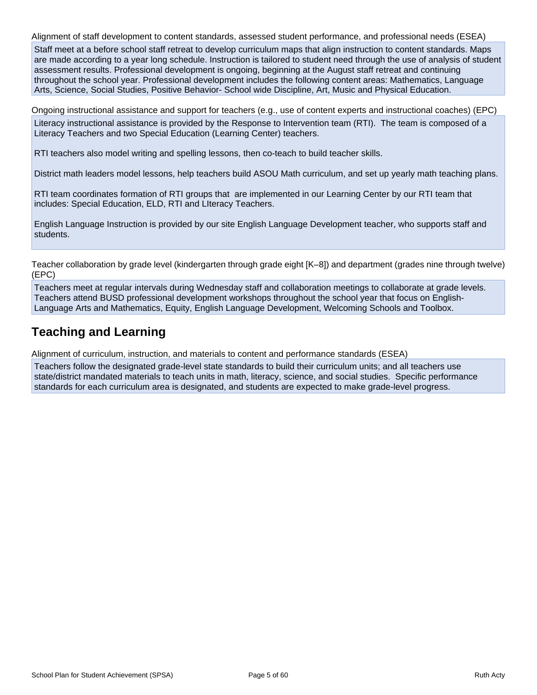Alignment of staff development to content standards, assessed student performance, and professional needs (ESEA) Staff meet at a before school staff retreat to develop curriculum maps that align instruction to content standards. Maps are made according to a year long schedule. Instruction is tailored to student need through the use of analysis of student assessment results. Professional development is ongoing, beginning at the August staff retreat and continuing throughout the school year. Professional development includes the following content areas: Mathematics, Language Arts, Science, Social Studies, Positive Behavior- School wide Discipline, Art, Music and Physical Education.

Ongoing instructional assistance and support for teachers (e.g., use of content experts and instructional coaches) (EPC) Literacy instructional assistance is provided by the Response to Intervention team (RTI). The team is composed of a Literacy Teachers and two Special Education (Learning Center) teachers.

RTI teachers also model writing and spelling lessons, then co-teach to build teacher skills.

District math leaders model lessons, help teachers build ASOU Math curriculum, and set up yearly math teaching plans.

RTI team coordinates formation of RTI groups that are implemented in our Learning Center by our RTI team that includes: Special Education, ELD, RTI and LIteracy Teachers.

English Language Instruction is provided by our site English Language Development teacher, who supports staff and students.

Teacher collaboration by grade level (kindergarten through grade eight [K–8]) and department (grades nine through twelve) (EPC)

Teachers meet at regular intervals during Wednesday staff and collaboration meetings to collaborate at grade levels. Teachers attend BUSD professional development workshops throughout the school year that focus on English-Language Arts and Mathematics, Equity, English Language Development, Welcoming Schools and Toolbox.

## **Teaching and Learning**

Alignment of curriculum, instruction, and materials to content and performance standards (ESEA)

Teachers follow the designated grade-level state standards to build their curriculum units; and all teachers use state/district mandated materials to teach units in math, literacy, science, and social studies. Specific performance standards for each curriculum area is designated, and students are expected to make grade-level progress.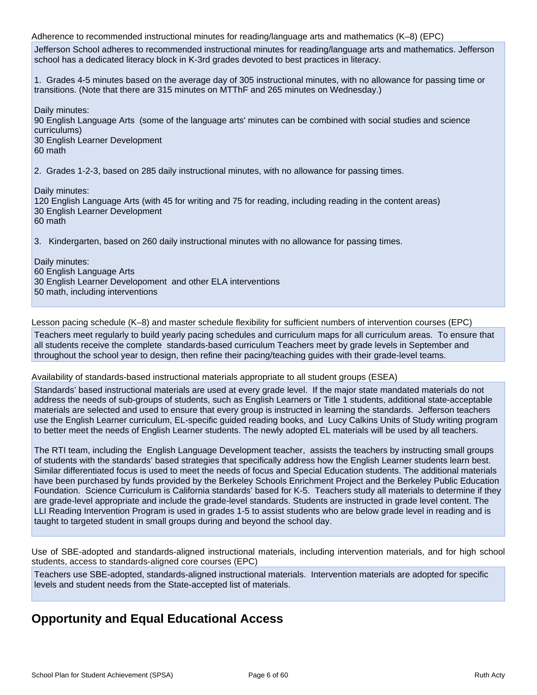Adherence to recommended instructional minutes for reading/language arts and mathematics (K–8) (EPC)

Jefferson School adheres to recommended instructional minutes for reading/language arts and mathematics. Jefferson school has a dedicated literacy block in K-3rd grades devoted to best practices in literacy.

1. Grades 4-5 minutes based on the average day of 305 instructional minutes, with no allowance for passing time or transitions. (Note that there are 315 minutes on MTThF and 265 minutes on Wednesday.)

Daily minutes:

90 English Language Arts (some of the language arts' minutes can be combined with social studies and science curriculums) 30 English Learner Development

60 math

2. Grades 1-2-3, based on 285 daily instructional minutes, with no allowance for passing times.

Daily minutes:

120 English Language Arts (with 45 for writing and 75 for reading, including reading in the content areas) 30 English Learner Development 60 math

3. Kindergarten, based on 260 daily instructional minutes with no allowance for passing times.

Daily minutes: 60 English Language Arts 30 English Learner Developoment and other ELA interventions 50 math, including interventions

Lesson pacing schedule (K–8) and master schedule flexibility for sufficient numbers of intervention courses (EPC)

Teachers meet regularly to build yearly pacing schedules and curriculum maps for all curriculum areas. To ensure that all students receive the complete standards-based curriculum Teachers meet by grade levels in September and throughout the school year to design, then refine their pacing/teaching guides with their grade-level teams.

#### Availability of standards-based instructional materials appropriate to all student groups (ESEA)

Standards' based instructional materials are used at every grade level. If the major state mandated materials do not address the needs of sub-groups of students, such as English Learners or Title 1 students, additional state-acceptable materials are selected and used to ensure that every group is instructed in learning the standards. Jefferson teachers use the English Learner curriculum, EL-specific guided reading books, and Lucy Calkins Units of Study writing program to better meet the needs of English Learner students. The newly adopted EL materials will be used by all teachers.

The RTI team, including the English Language Development teacher, assists the teachers by instructing small groups of students with the standards' based strategies that specifically address how the English Learner students learn best. Similar differentiated focus is used to meet the needs of focus and Special Education students. The additional materials have been purchased by funds provided by the Berkeley Schools Enrichment Project and the Berkeley Public Education Foundation. Science Curriculum is California standards' based for K-5. Teachers study all materials to determine if they are grade-level appropriate and include the grade-level standards. Students are instructed in grade level content. The LLI Reading Intervention Program is used in grades 1-5 to assist students who are below grade level in reading and is taught to targeted student in small groups during and beyond the school day.

Use of SBE-adopted and standards-aligned instructional materials, including intervention materials, and for high school students, access to standards-aligned core courses (EPC)

Teachers use SBE-adopted, standards-aligned instructional materials. Intervention materials are adopted for specific levels and student needs from the State-accepted list of materials.

## **Opportunity and Equal Educational Access**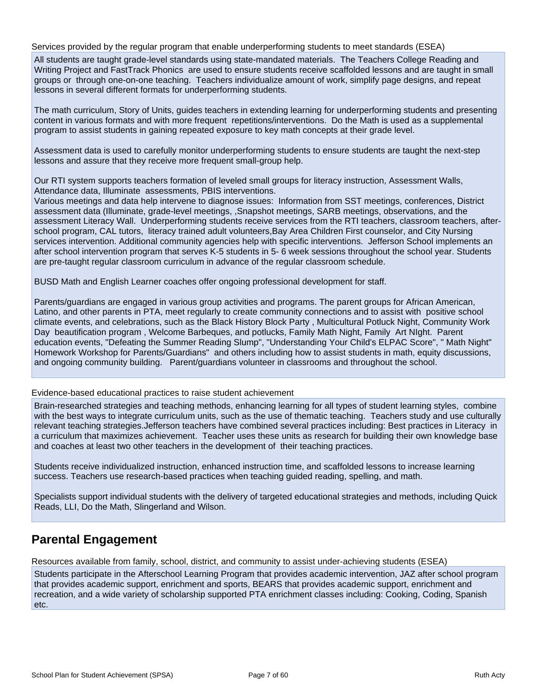#### Services provided by the regular program that enable underperforming students to meet standards (ESEA)

All students are taught grade-level standards using state-mandated materials. The Teachers College Reading and Writing Project and FastTrack Phonics are used to ensure students receive scaffolded lessons and are taught in small groups or through one-on-one teaching. Teachers individualize amount of work, simplify page designs, and repeat lessons in several different formats for underperforming students.

The math curriculum, Story of Units, guides teachers in extending learning for underperforming students and presenting content in various formats and with more frequent repetitions/interventions. Do the Math is used as a supplemental program to assist students in gaining repeated exposure to key math concepts at their grade level.

Assessment data is used to carefully monitor underperforming students to ensure students are taught the next-step lessons and assure that they receive more frequent small-group help.

Our RTI system supports teachers formation of leveled small groups for literacy instruction, Assessment Walls, Attendance data, Illuminate assessments, PBIS interventions.

Various meetings and data help intervene to diagnose issues: Information from SST meetings, conferences, District assessment data (Illuminate, grade-level meetings, ,Snapshot meetings, SARB meetings, observations, and the assessment Literacy Wall. Underperforming students receive services from the RTI teachers, classroom teachers, afterschool program, CAL tutors, literacy trained adult volunteers,Bay Area Children First counselor, and City Nursing services intervention. Additional community agencies help with specific interventions. Jefferson School implements an after school intervention program that serves K-5 students in 5- 6 week sessions throughout the school year. Students are pre-taught regular classroom curriculum in advance of the regular classroom schedule.

BUSD Math and English Learner coaches offer ongoing professional development for staff.

Parents/guardians are engaged in various group activities and programs. The parent groups for African American, Latino, and other parents in PTA, meet regularly to create community connections and to assist with positive school climate events, and celebrations, such as the Black History Block Party , Multicultural Potluck Night, Community Work Day beautification program , Welcome Barbeques, and potlucks, Family Math Night, Family Art NIght. Parent education events, "Defeating the Summer Reading Slump", "Understanding Your Child's ELPAC Score", " Math Night" Homework Workshop for Parents/Guardians" and others including how to assist students in math, equity discussions, and ongoing community building. Parent/guardians volunteer in classrooms and throughout the school.

#### Evidence-based educational practices to raise student achievement

Brain-researched strategies and teaching methods, enhancing learning for all types of student learning styles, combine with the best ways to integrate curriculum units, such as the use of thematic teaching. Teachers study and use culturally relevant teaching strategies.Jefferson teachers have combined several practices including: Best practices in Literacy in a curriculum that maximizes achievement. Teacher uses these units as research for building their own knowledge base and coaches at least two other teachers in the development of their teaching practices.

Students receive individualized instruction, enhanced instruction time, and scaffolded lessons to increase learning success. Teachers use research-based practices when teaching guided reading, spelling, and math.

Specialists support individual students with the delivery of targeted educational strategies and methods, including Quick Reads, LLI, Do the Math, Slingerland and Wilson.

## **Parental Engagement**

Resources available from family, school, district, and community to assist under-achieving students (ESEA)

Students participate in the Afterschool Learning Program that provides academic intervention, JAZ after school program that provides academic support, enrichment and sports, BEARS that provides academic support, enrichment and recreation, and a wide variety of scholarship supported PTA enrichment classes including: Cooking, Coding, Spanish etc.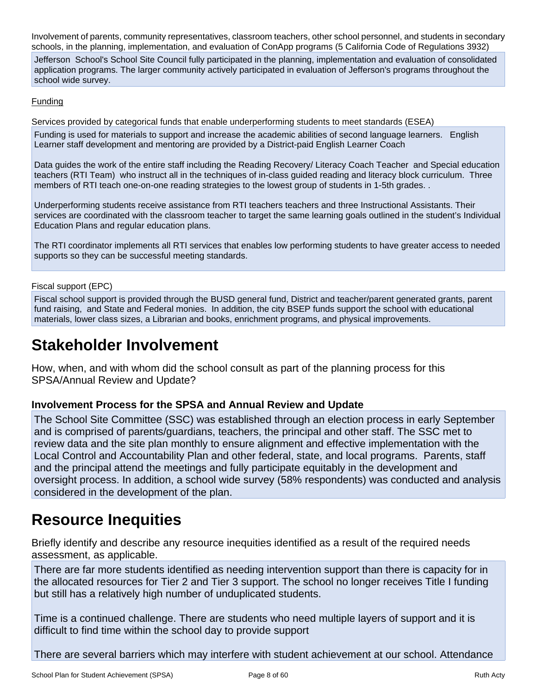Involvement of parents, community representatives, classroom teachers, other school personnel, and students in secondary schools, in the planning, implementation, and evaluation of ConApp programs (5 California Code of Regulations 3932)

Jefferson School's School Site Council fully participated in the planning, implementation and evaluation of consolidated application programs. The larger community actively participated in evaluation of Jefferson's programs throughout the school wide survey.

#### **Funding**

Services provided by categorical funds that enable underperforming students to meet standards (ESEA)

Funding is used for materials to support and increase the academic abilities of second language learners. English Learner staff development and mentoring are provided by a District-paid English Learner Coach

Data guides the work of the entire staff including the Reading Recovery/ Literacy Coach Teacher and Special education teachers (RTI Team) who instruct all in the techniques of in-class guided reading and literacy block curriculum. Three members of RTI teach one-on-one reading strategies to the lowest group of students in 1-5th grades. .

Underperforming students receive assistance from RTI teachers teachers and three Instructional Assistants. Their services are coordinated with the classroom teacher to target the same learning goals outlined in the student's Individual Education Plans and regular education plans.

The RTI coordinator implements all RTI services that enables low performing students to have greater access to needed supports so they can be successful meeting standards.

Fiscal support (EPC)

Fiscal school support is provided through the BUSD general fund, District and teacher/parent generated grants, parent fund raising, and State and Federal monies. In addition, the city BSEP funds support the school with educational materials, lower class sizes, a Librarian and books, enrichment programs, and physical improvements.

## **Stakeholder Involvement**

How, when, and with whom did the school consult as part of the planning process for this SPSA/Annual Review and Update?

### **Involvement Process for the SPSA and Annual Review and Update**

The School Site Committee (SSC) was established through an election process in early September and is comprised of parents/guardians, teachers, the principal and other staff. The SSC met to review data and the site plan monthly to ensure alignment and effective implementation with the Local Control and Accountability Plan and other federal, state, and local programs. Parents, staff and the principal attend the meetings and fully participate equitably in the development and oversight process. In addition, a school wide survey (58% respondents) was conducted and analysis considered in the development of the plan.

## **Resource Inequities**

Briefly identify and describe any resource inequities identified as a result of the required needs assessment, as applicable.

There are far more students identified as needing intervention support than there is capacity for in the allocated resources for Tier 2 and Tier 3 support. The school no longer receives Title I funding but still has a relatively high number of unduplicated students.

Time is a continued challenge. There are students who need multiple layers of support and it is difficult to find time within the school day to provide support

There are several barriers which may interfere with student achievement at our school. Attendance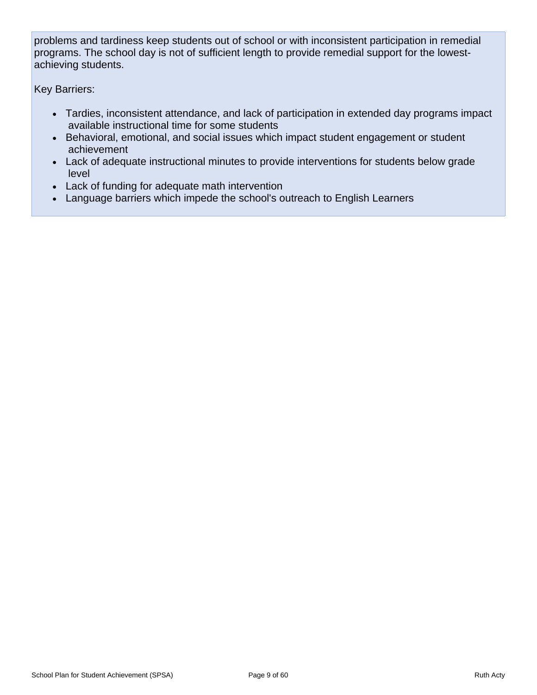problems and tardiness keep students out of school or with inconsistent participation in remedial programs. The school day is not of sufficient length to provide remedial support for the lowestachieving students.

Key Barriers:

- Tardies, inconsistent attendance, and lack of participation in extended day programs impact available instructional time for some students
- Behavioral, emotional, and social issues which impact student engagement or student achievement
- Lack of adequate instructional minutes to provide interventions for students below grade level
- Lack of funding for adequate math intervention
- Language barriers which impede the school's outreach to English Learners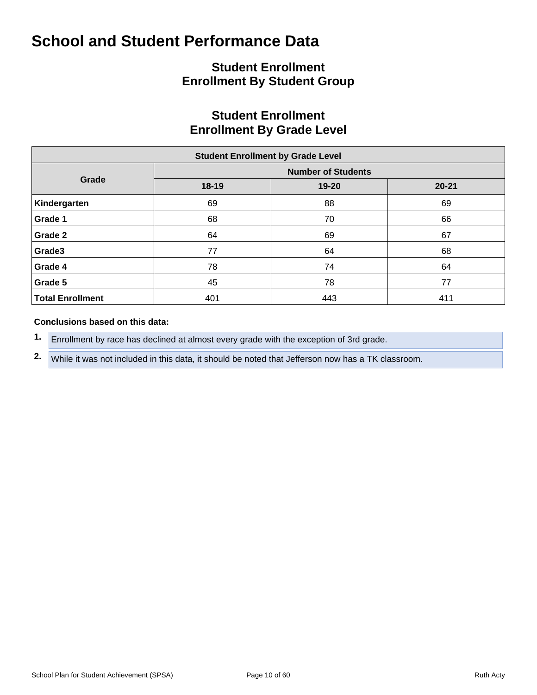## **Student Enrollment Enrollment By Student Group**

## **Student Enrollment Enrollment By Grade Level**

| <b>Student Enrollment by Grade Level</b> |       |                           |           |  |  |  |  |  |  |  |  |
|------------------------------------------|-------|---------------------------|-----------|--|--|--|--|--|--|--|--|
|                                          |       | <b>Number of Students</b> |           |  |  |  |  |  |  |  |  |
| Grade                                    | 18-19 | 19-20                     | $20 - 21$ |  |  |  |  |  |  |  |  |
| Kindergarten                             | 69    | 88                        | 69        |  |  |  |  |  |  |  |  |
| Grade 1                                  | 68    | 70                        | 66        |  |  |  |  |  |  |  |  |
| Grade 2                                  | 64    | 69                        | 67        |  |  |  |  |  |  |  |  |
| Grade3                                   | 77    | 64                        | 68        |  |  |  |  |  |  |  |  |
| Grade 4                                  | 78    | 74                        | 64        |  |  |  |  |  |  |  |  |
| Grade 5                                  | 45    | 78                        | 77        |  |  |  |  |  |  |  |  |
| <b>Total Enrollment</b>                  | 401   | 443                       | 411       |  |  |  |  |  |  |  |  |

#### **Conclusions based on this data:**

**1.** Enrollment by race has declined at almost every grade with the exception of 3rd grade.

**2.** While it was not included in this data, it should be noted that Jefferson now has a TK classroom.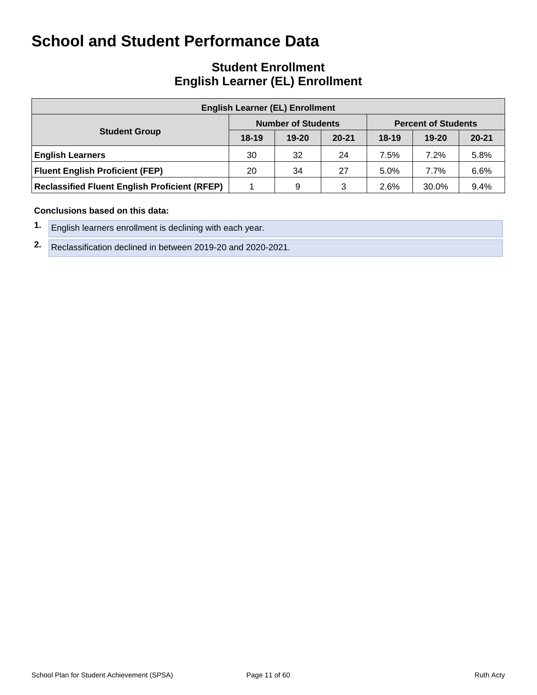## **Student Enrollment English Learner (EL) Enrollment**

| <b>English Learner (EL) Enrollment</b>               |         |                           |           |         |                            |           |  |  |  |  |  |
|------------------------------------------------------|---------|---------------------------|-----------|---------|----------------------------|-----------|--|--|--|--|--|
|                                                      |         | <b>Number of Students</b> |           |         | <b>Percent of Students</b> |           |  |  |  |  |  |
| <b>Student Group</b>                                 | $18-19$ | $19 - 20$                 | $20 - 21$ | $18-19$ | $19 - 20$                  | $20 - 21$ |  |  |  |  |  |
| <b>English Learners</b>                              | 30      | 32                        | 24        | 7.5%    | 7.2%                       | 5.8%      |  |  |  |  |  |
| <b>Fluent English Proficient (FEP)</b>               | 20      | 34                        | 27        | 5.0%    | 7.7%                       | 6.6%      |  |  |  |  |  |
| <b>Reclassified Fluent English Proficient (RFEP)</b> |         | 9                         | 3         | 2.6%    | 30.0%                      | 9.4%      |  |  |  |  |  |

#### **Conclusions based on this data:**

- **1.** English learners enrollment is declining with each year.
- **2.** Reclassification declined in between 2019-20 and 2020-2021.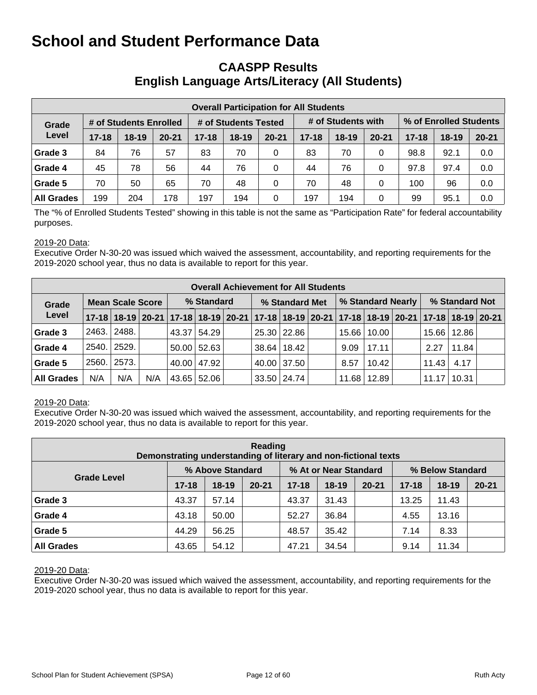## **CAASPP Results English Language Arts/Literacy (All Students)**

|                   | <b>Overall Participation for All Students</b> |                        |           |           |                      |           |                    |                        |           |           |           |           |  |  |
|-------------------|-----------------------------------------------|------------------------|-----------|-----------|----------------------|-----------|--------------------|------------------------|-----------|-----------|-----------|-----------|--|--|
| Grade             |                                               | # of Students Enrolled |           |           | # of Students Tested |           | # of Students with | % of Enrolled Students |           |           |           |           |  |  |
| Level             | $17 - 18$                                     | $18-19$                | $20 - 21$ | $17 - 18$ | $18 - 19$            | $20 - 21$ | $17 - 18$          | $18 - 19$              | $20 - 21$ | $17 - 18$ | $18 - 19$ | $20 - 21$ |  |  |
| Grade 3           | 84                                            | 76                     | 57        | 83        | 70                   | 0         | 83                 | 70                     | 0         | 98.8      | 92.1      | 0.0       |  |  |
| Grade 4           | 45                                            | 78                     | 56        | 44        | 76                   | $\Omega$  | 44                 | 76                     | 0         | 97.8      | 97.4      | 0.0       |  |  |
| Grade 5           | 70                                            | 50                     | 65        | 70        | 48                   | 0         | 70                 | 48                     | 0         | 100       | 96        | 0.0       |  |  |
| <b>All Grades</b> | 199                                           | 204                    | 178       | 197       | 194                  | 0         | 197                | 194                    | 0         | 99        | 95.1      | 0.0       |  |  |

The "% of Enrolled Students Tested" showing in this table is not the same as "Participation Rate" for federal accountability purposes.

#### 2019-20 Data:

Executive Order N-30-20 was issued which waived the assessment, accountability, and reporting requirements for the 2019-2020 school year, thus no data is available to report for this year.

|                   | <b>Overall Achievement for All Students</b> |                                                                                           |     |            |               |  |                |                 |  |                   |               |  |                |       |  |
|-------------------|---------------------------------------------|-------------------------------------------------------------------------------------------|-----|------------|---------------|--|----------------|-----------------|--|-------------------|---------------|--|----------------|-------|--|
| Grade             |                                             | <b>Mean Scale Score</b>                                                                   |     | % Standard |               |  | % Standard Met |                 |  | % Standard Nearly |               |  | % Standard Not |       |  |
| Level             |                                             | 17-18 18-19 20-21 17-18 18-19 20-21 17-18 18-19 20-21 17-18 18-19 20-21 17-18 18-19 20-21 |     |            |               |  |                |                 |  |                   |               |  |                |       |  |
| Grade 3           | 2463.                                       | 2488.                                                                                     |     |            | 43.37 54.29   |  |                | 25.30 22.86     |  |                   | 15.66   10.00 |  | 15.66          | 12.86 |  |
| Grade 4           |                                             | 2540. 2529.                                                                               |     |            | $50.00$ 52.63 |  |                | 38.64   18.42   |  | 9.09              | 17.11         |  | 2.27           | 11.84 |  |
| Grade 5           | 2560.                                       | 2573.                                                                                     |     |            | 40.00 47.92   |  |                | 40.00 37.50     |  | 8.57              | 10.42         |  | 11.43          | 4.17  |  |
| <b>All Grades</b> | N/A                                         | N/A                                                                                       | N/A |            | 43.65 52.06   |  |                | $33.50$   24.74 |  | 11.68             | 12.89         |  | 11.17          | 10.31 |  |

#### 2019-20 Data:

Executive Order N-30-20 was issued which waived the assessment, accountability, and reporting requirements for the 2019-2020 school year, thus no data is available to report for this year.

| Reading<br>Demonstrating understanding of literary and non-fictional texts |           |                  |           |           |                       |           |                  |           |           |  |  |  |  |
|----------------------------------------------------------------------------|-----------|------------------|-----------|-----------|-----------------------|-----------|------------------|-----------|-----------|--|--|--|--|
|                                                                            |           | % Above Standard |           |           | % At or Near Standard |           | % Below Standard |           |           |  |  |  |  |
| <b>Grade Level</b>                                                         | $17 - 18$ | $18 - 19$        | $20 - 21$ | $17 - 18$ | 18-19                 | $20 - 21$ | $17 - 18$        | $18 - 19$ | $20 - 21$ |  |  |  |  |
| Grade 3                                                                    | 43.37     | 57.14            |           | 43.37     | 31.43                 |           | 13.25            | 11.43     |           |  |  |  |  |
| Grade 4                                                                    | 43.18     | 50.00            |           | 52.27     | 36.84                 |           | 4.55             | 13.16     |           |  |  |  |  |
| Grade 5                                                                    | 44.29     | 56.25            |           | 48.57     | 35.42                 |           | 7.14             | 8.33      |           |  |  |  |  |
| <b>All Grades</b>                                                          | 43.65     | 54.12            |           | 47.21     | 34.54                 |           | 9.14             | 11.34     |           |  |  |  |  |

#### 2019-20 Data: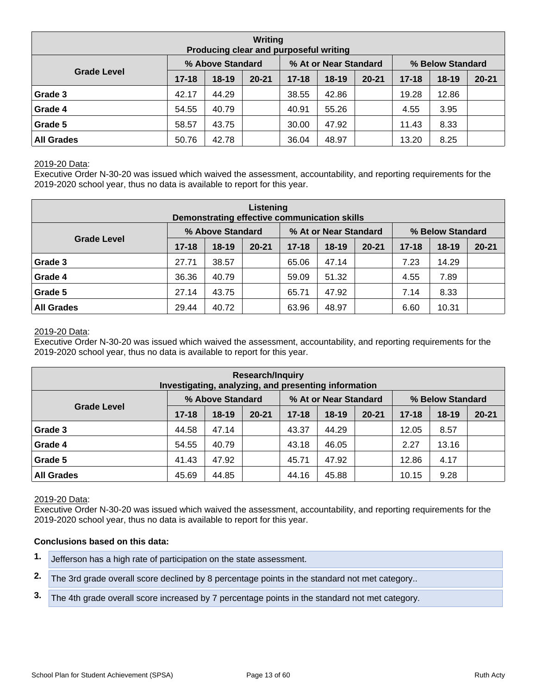| Writing<br>Producing clear and purposeful writing |           |                  |           |           |                       |           |                  |           |           |  |  |  |  |
|---------------------------------------------------|-----------|------------------|-----------|-----------|-----------------------|-----------|------------------|-----------|-----------|--|--|--|--|
|                                                   |           | % Above Standard |           |           | % At or Near Standard |           | % Below Standard |           |           |  |  |  |  |
| <b>Grade Level</b>                                | $17 - 18$ | $18 - 19$        | $20 - 21$ | $17 - 18$ | $18 - 19$             | $20 - 21$ | $17 - 18$        | $18 - 19$ | $20 - 21$ |  |  |  |  |
| Grade 3                                           | 42.17     | 44.29            |           | 38.55     | 42.86                 |           | 19.28            | 12.86     |           |  |  |  |  |
| Grade 4                                           | 54.55     | 40.79            |           | 40.91     | 55.26                 |           | 4.55             | 3.95      |           |  |  |  |  |
| Grade 5                                           | 58.57     | 43.75            |           | 30.00     | 47.92                 |           | 11.43            | 8.33      |           |  |  |  |  |
| <b>All Grades</b>                                 | 50.76     | 42.78            |           | 36.04     | 48.97                 |           | 13.20            | 8.25      |           |  |  |  |  |

Executive Order N-30-20 was issued which waived the assessment, accountability, and reporting requirements for the 2019-2020 school year, thus no data is available to report for this year.

| Listening<br>Demonstrating effective communication skills |           |                  |           |           |                       |           |                  |         |           |  |  |  |  |
|-----------------------------------------------------------|-----------|------------------|-----------|-----------|-----------------------|-----------|------------------|---------|-----------|--|--|--|--|
|                                                           |           | % Above Standard |           |           | % At or Near Standard |           | % Below Standard |         |           |  |  |  |  |
| <b>Grade Level</b>                                        | $17 - 18$ | $18-19$          | $20 - 21$ | $17 - 18$ | $18 - 19$             | $20 - 21$ | $17 - 18$        | $18-19$ | $20 - 21$ |  |  |  |  |
| Grade 3                                                   | 27.71     | 38.57            |           | 65.06     | 47.14                 |           | 7.23             | 14.29   |           |  |  |  |  |
| Grade 4                                                   | 36.36     | 40.79            |           | 59.09     | 51.32                 |           | 4.55             | 7.89    |           |  |  |  |  |
| Grade 5                                                   | 27.14     | 43.75            |           | 65.71     | 47.92                 |           | 7.14             | 8.33    |           |  |  |  |  |
| <b>All Grades</b>                                         | 29.44     | 40.72            |           | 63.96     | 48.97                 |           | 6.60             | 10.31   |           |  |  |  |  |

#### 2019-20 Data:

Executive Order N-30-20 was issued which waived the assessment, accountability, and reporting requirements for the 2019-2020 school year, thus no data is available to report for this year.

| <b>Research/Inquiry</b><br>Investigating, analyzing, and presenting information |           |                  |           |           |                       |           |                  |           |           |  |  |  |  |
|---------------------------------------------------------------------------------|-----------|------------------|-----------|-----------|-----------------------|-----------|------------------|-----------|-----------|--|--|--|--|
|                                                                                 |           | % Above Standard |           |           | % At or Near Standard |           | % Below Standard |           |           |  |  |  |  |
| <b>Grade Level</b>                                                              | $17 - 18$ | $18-19$          | $20 - 21$ | $17 - 18$ | $18 - 19$             | $20 - 21$ | $17 - 18$        | $18 - 19$ | $20 - 21$ |  |  |  |  |
| Grade 3                                                                         | 44.58     | 47.14            |           | 43.37     | 44.29                 |           | 12.05            | 8.57      |           |  |  |  |  |
| Grade 4                                                                         | 54.55     | 40.79            |           | 43.18     | 46.05                 |           | 2.27             | 13.16     |           |  |  |  |  |
| Grade 5                                                                         | 41.43     | 47.92            |           | 45.71     | 47.92                 |           | 12.86            | 4.17      |           |  |  |  |  |
| <b>All Grades</b><br>44.85<br>44.16<br>45.88<br>9.28<br>45.69<br>10.15          |           |                  |           |           |                       |           |                  |           |           |  |  |  |  |

#### 2019-20 Data:

Executive Order N-30-20 was issued which waived the assessment, accountability, and reporting requirements for the 2019-2020 school year, thus no data is available to report for this year.

#### **Conclusions based on this data:**

- **1.** Jefferson has a high rate of participation on the state assessment.
- **2.** The 3rd grade overall score declined by 8 percentage points in the standard not met category..
- **3.** The 4th grade overall score increased by 7 percentage points in the standard not met category.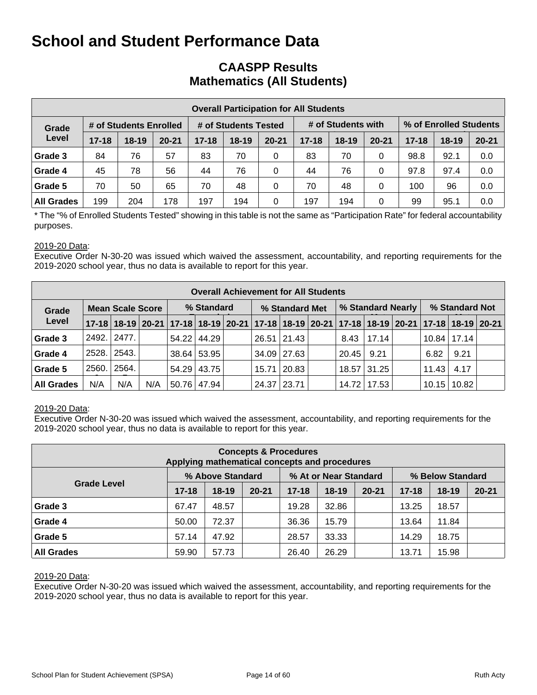## **CAASPP Results Mathematics (All Students)**

|                   | <b>Overall Participation for All Students</b> |                        |           |           |                      |           |           |                    |           |           |                        |           |  |  |
|-------------------|-----------------------------------------------|------------------------|-----------|-----------|----------------------|-----------|-----------|--------------------|-----------|-----------|------------------------|-----------|--|--|
| Grade             |                                               | # of Students Enrolled |           |           | # of Students Tested |           |           | # of Students with |           |           | % of Enrolled Students |           |  |  |
| Level             | $17 - 18$                                     | $18-19$                | $20 - 21$ | $17 - 18$ | $18 - 19$            | $20 - 21$ | $17 - 18$ | $18-19$            | $20 - 21$ | $17 - 18$ | $18-19$                | $20 - 21$ |  |  |
| Grade 3           | 84                                            | 76                     | 57        | 83        | 70                   | 0         | 83        | 70                 | 0         | 98.8      | 92.1                   | 0.0       |  |  |
| Grade 4           | 45                                            | 78                     | 56        | 44        | 76                   | 0         | 44        | 76                 | 0         | 97.8      | 97.4                   | 0.0       |  |  |
| Grade 5           | 70                                            | 50                     | 65        | 70        | 48                   | 0         | 70        | 48                 | 0         | 100       | 96                     | 0.0       |  |  |
| <b>All Grades</b> | 199                                           | 204                    | 178       | 197       | 194                  | 0         | 197       | 194                | 0         | 99        | 95.1                   | 0.0       |  |  |

\* The "% of Enrolled Students Tested" showing in this table is not the same as "Participation Rate" for federal accountability purposes.

#### 2019-20 Data:

Executive Order N-30-20 was issued which waived the assessment, accountability, and reporting requirements for the 2019-2020 school year, thus no data is available to report for this year.

|                                  | <b>Overall Achievement for All Students</b> |       |     |             |               |  |                |             |  |                   |               |  |                |                                                                                           |  |
|----------------------------------|---------------------------------------------|-------|-----|-------------|---------------|--|----------------|-------------|--|-------------------|---------------|--|----------------|-------------------------------------------------------------------------------------------|--|
| <b>Mean Scale Score</b><br>Grade |                                             |       |     |             | % Standard    |  | % Standard Met |             |  | % Standard Nearly |               |  | % Standard Not |                                                                                           |  |
| Level                            |                                             |       |     |             |               |  |                |             |  |                   |               |  |                | 17-18 18-19 20-21 17-18 18-19 20-21 17-18 18-19 20-21 17-18 18-19 20-21 17-18 18-19 20-21 |  |
| Grade 3                          | 2492.                                       | 2477. |     |             | 54.22   44.29 |  |                | 26.51 21.43 |  | 8.43              | 17.14         |  |                | $10.84$   17.14                                                                           |  |
| Grade 4                          | 2528.1                                      | 2543. |     |             | 38.64 53.95   |  |                | 34.09 27.63 |  | 20.45             | 9.21          |  | 6.82           | 9.21                                                                                      |  |
| Grade 5                          | 2560.                                       | 2564. |     |             | 54.29 43.75   |  |                | 15.71 20.83 |  |                   | 18.57 31.25   |  | 11.43          | 4.17                                                                                      |  |
| <b>All Grades</b>                | N/A                                         | N/A   | N/A | 50.76 47.94 |               |  | 24.37 23.71    |             |  |                   | 14.72   17.53 |  | 10.15          | 10.82                                                                                     |  |

#### 2019-20 Data:

Executive Order N-30-20 was issued which waived the assessment, accountability, and reporting requirements for the 2019-2020 school year, thus no data is available to report for this year.

| <b>Concepts &amp; Procedures</b><br>Applying mathematical concepts and procedures |           |                  |           |           |                       |           |                  |           |           |  |  |  |  |
|-----------------------------------------------------------------------------------|-----------|------------------|-----------|-----------|-----------------------|-----------|------------------|-----------|-----------|--|--|--|--|
|                                                                                   |           | % Above Standard |           |           | % At or Near Standard |           | % Below Standard |           |           |  |  |  |  |
| <b>Grade Level</b>                                                                | $17 - 18$ | $18-19$          | $20 - 21$ | $17 - 18$ | $18 - 19$             | $20 - 21$ | $17 - 18$        | $18 - 19$ | $20 - 21$ |  |  |  |  |
| Grade 3                                                                           | 67.47     | 48.57            |           | 19.28     | 32.86                 |           | 13.25            | 18.57     |           |  |  |  |  |
| Grade 4                                                                           | 50.00     | 72.37            |           | 36.36     | 15.79                 |           | 13.64            | 11.84     |           |  |  |  |  |
| Grade 5                                                                           | 57.14     | 47.92            |           | 28.57     | 33.33                 |           | 14.29            | 18.75     |           |  |  |  |  |
| <b>All Grades</b>                                                                 | 59.90     | 57.73            |           | 26.40     | 26.29                 |           | 13.71            | 15.98     |           |  |  |  |  |

#### 2019-20 Data: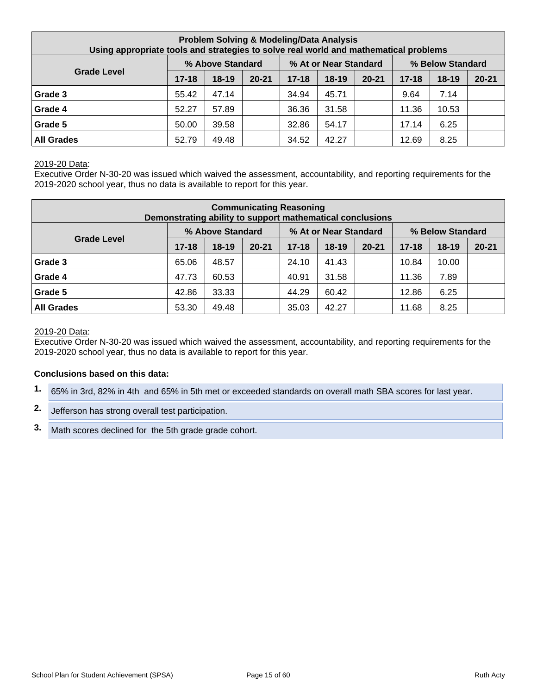| <b>Problem Solving &amp; Modeling/Data Analysis</b><br>Using appropriate tools and strategies to solve real world and mathematical problems |           |                  |           |           |                       |           |           |                  |           |  |  |  |
|---------------------------------------------------------------------------------------------------------------------------------------------|-----------|------------------|-----------|-----------|-----------------------|-----------|-----------|------------------|-----------|--|--|--|
|                                                                                                                                             |           | % Above Standard |           |           | % At or Near Standard |           |           | % Below Standard |           |  |  |  |
| <b>Grade Level</b>                                                                                                                          | $17 - 18$ | $18-19$          | $20 - 21$ | $17 - 18$ | $18 - 19$             | $20 - 21$ | $17 - 18$ | $18 - 19$        | $20 - 21$ |  |  |  |
| Grade 3                                                                                                                                     | 55.42     | 47.14            |           | 34.94     | 45.71                 |           | 9.64      | 7.14             |           |  |  |  |
| Grade 4                                                                                                                                     | 52.27     | 57.89            |           | 36.36     | 31.58                 |           | 11.36     | 10.53            |           |  |  |  |
| Grade 5                                                                                                                                     | 50.00     | 39.58            |           | 32.86     | 54.17                 |           | 17.14     | 6.25             |           |  |  |  |
| <b>All Grades</b>                                                                                                                           | 52.79     | 49.48            |           | 34.52     | 42.27                 |           | 12.69     | 8.25             |           |  |  |  |

Executive Order N-30-20 was issued which waived the assessment, accountability, and reporting requirements for the 2019-2020 school year, thus no data is available to report for this year.

| <b>Communicating Reasoning</b><br>Demonstrating ability to support mathematical conclusions |           |                  |           |           |                       |           |           |                  |           |  |  |
|---------------------------------------------------------------------------------------------|-----------|------------------|-----------|-----------|-----------------------|-----------|-----------|------------------|-----------|--|--|
|                                                                                             |           | % Above Standard |           |           | % At or Near Standard |           |           | % Below Standard |           |  |  |
| <b>Grade Level</b>                                                                          | $17 - 18$ | $18 - 19$        | $20 - 21$ | $17 - 18$ | 18-19                 | $20 - 21$ | $17 - 18$ | $18 - 19$        | $20 - 21$ |  |  |
| Grade 3                                                                                     | 65.06     | 48.57            |           | 24.10     | 41.43                 |           | 10.84     | 10.00            |           |  |  |
| Grade 4                                                                                     | 47.73     | 60.53            |           | 40.91     | 31.58                 |           | 11.36     | 7.89             |           |  |  |
| Grade 5                                                                                     | 42.86     | 33.33            |           | 44.29     | 60.42                 |           | 12.86     | 6.25             |           |  |  |
| <b>All Grades</b>                                                                           | 53.30     | 49.48            |           | 35.03     | 42.27                 |           | 11.68     | 8.25             |           |  |  |

#### 2019-20 Data:

Executive Order N-30-20 was issued which waived the assessment, accountability, and reporting requirements for the 2019-2020 school year, thus no data is available to report for this year.

#### **Conclusions based on this data:**

- **1.** 65% in 3rd, 82% in 4th and 65% in 5th met or exceeded standards on overall math SBA scores for last year.
- **2.** Jefferson has strong overall test participation.
- **3.** Math scores declined for the 5th grade grade cohort.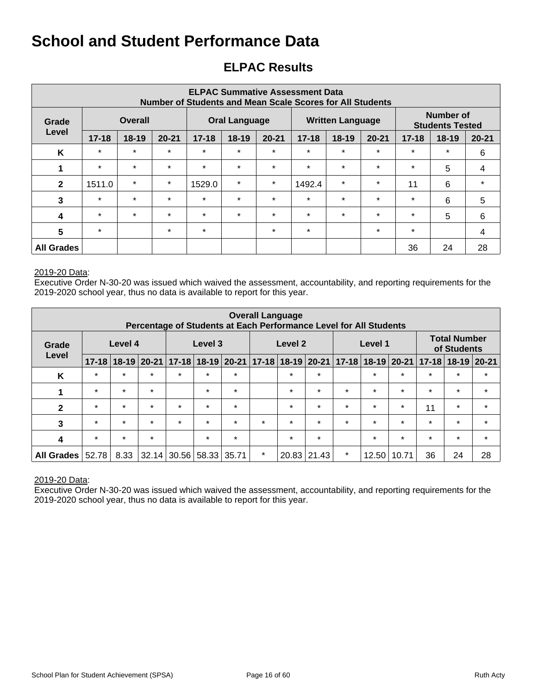## **ELPAC Results**

| <b>ELPAC Summative Assessment Data</b><br>Number of Students and Mean Scale Scores for All Students |                         |           |           |           |                      |           |           |                         |           |                                     |           |           |  |
|-----------------------------------------------------------------------------------------------------|-------------------------|-----------|-----------|-----------|----------------------|-----------|-----------|-------------------------|-----------|-------------------------------------|-----------|-----------|--|
| Grade                                                                                               | <b>Overall</b><br>Level |           |           |           | <b>Oral Language</b> |           |           | <b>Written Language</b> |           | Number of<br><b>Students Tested</b> |           |           |  |
|                                                                                                     | $17 - 18$               | $18 - 19$ | $20 - 21$ | $17 - 18$ | 18-19                | $20 - 21$ | $17 - 18$ | $18-19$                 | $20 - 21$ | $17 - 18$                           | $18 - 19$ | $20 - 21$ |  |
| K                                                                                                   | $\star$                 | $\star$   | $\star$   | $\star$   | $\star$              | $\star$   | $\star$   | $\star$                 | $\star$   | $\star$                             | $\star$   | 6         |  |
| 1                                                                                                   | $\star$                 | $\star$   | $\star$   | $\star$   | $\star$              | $\star$   | $\star$   | $\star$                 | $\star$   | $\star$                             | 5         | 4         |  |
| $\mathbf{2}$                                                                                        | 1511.0                  | $\star$   | $\star$   | 1529.0    | $\star$              | $\star$   | 1492.4    | $\star$                 | $\star$   | 11                                  | 6         | $\star$   |  |
| 3                                                                                                   | $\star$                 | $\star$   | $\star$   | $\star$   | $\star$              | $\star$   | $\star$   | $\star$                 | $\star$   | $\star$                             | 6         | 5         |  |
| $\boldsymbol{4}$                                                                                    | $\star$                 | $\star$   | $\star$   | $\star$   | $\star$              | $\star$   | $\star$   | $\star$                 | $\star$   | $\star$                             | 5         | 6         |  |
| $5\phantom{1}$                                                                                      | $\star$                 |           | $\star$   | $\star$   |                      | $\star$   | $\star$   |                         | $\star$   | $\star$                             |           | 4         |  |
| <b>All Grades</b>                                                                                   |                         |           |           |           |                      |           |           |                         |           | 36                                  | 24        | 28        |  |

#### 2019-20 Data:

Executive Order N-30-20 was issued which waived the assessment, accountability, and reporting requirements for the 2019-2020 school year, thus no data is available to report for this year.

| <b>Overall Language</b><br>Percentage of Students at Each Performance Level for All Students |           |         |               |           |           |         |         |                           |         |                                    |         |                 |           |           |           |
|----------------------------------------------------------------------------------------------|-----------|---------|---------------|-----------|-----------|---------|---------|---------------------------|---------|------------------------------------|---------|-----------------|-----------|-----------|-----------|
| Level 4<br>Level 3<br>Level 2<br>Level 1<br>Grade<br>Level                                   |           |         |               |           |           |         |         |                           |         | <b>Total Number</b><br>of Students |         |                 |           |           |           |
|                                                                                              | $17 - 18$ |         | $18-19$ 20-21 | $17 - 18$ | $18 - 19$ | 20-21   |         | $17 - 18$ 18 - 19 20 - 21 |         | $17 - 18$                          |         | $18-19$   20-21 | $17 - 18$ | $18 - 19$ | $ 20-21 $ |
| K                                                                                            | $\star$   | $\star$ | $\star$       | $\star$   | $\star$   | $\star$ |         | $\star$                   | $\star$ |                                    | $\star$ | $\star$         | $\star$   | $\star$   | $\star$   |
| 1                                                                                            | $\star$   | $\star$ | $\star$       |           | $\star$   | $\star$ |         | $\star$                   | $\star$ | $\star$                            | $\star$ | $\star$         | $\star$   | $\star$   | $\star$   |
| $\mathbf{2}$                                                                                 | $\star$   | $\star$ | $\star$       | $\star$   | $\star$   | $\star$ |         | $\star$                   | $\star$ | $\star$                            | $\star$ | $\star$         | 11        | $\star$   | $\star$   |
| 3                                                                                            | $\star$   | $\star$ | $\star$       | $\star$   | $\star$   | $\star$ | $\star$ | $\star$                   | $\star$ | $\star$                            | $\star$ | $\star$         | $\star$   | $\star$   | $\star$   |
| 4                                                                                            | $\star$   | $\star$ | $\star$       |           | $\star$   | $\star$ |         | $\star$                   | $\star$ |                                    | $\star$ | $\star$         | $\star$   | $\star$   | $\star$   |
| <b>All Grades</b>                                                                            | 52.78     | 8.33    | 32.14         | 30.56     | 58.33     | 35.71   | $\star$ | 20.83                     | 21.43   | $\star$                            | 12.50   | 10.71           | 36        | 24        | 28        |

#### 2019-20 Data: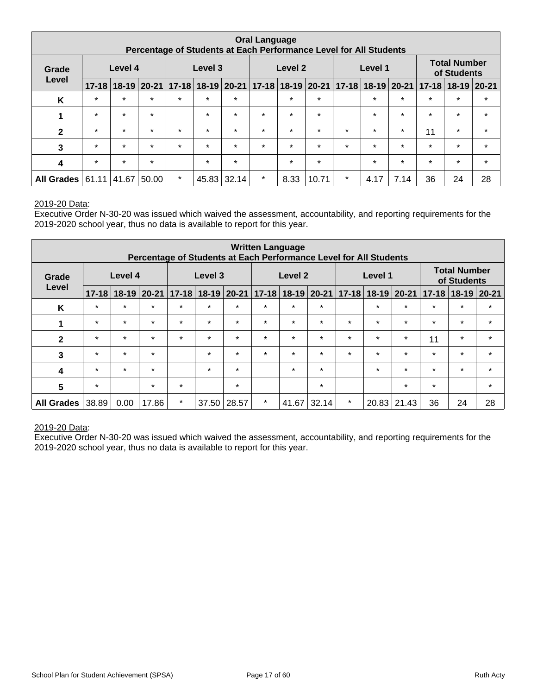| <b>Oral Language</b><br>Percentage of Students at Each Performance Level for All Students |           |         |                 |           |         |               |         |                       |         |           |                                               |             |         |                           |         |
|-------------------------------------------------------------------------------------------|-----------|---------|-----------------|-----------|---------|---------------|---------|-----------------------|---------|-----------|-----------------------------------------------|-------------|---------|---------------------------|---------|
| Grade                                                                                     |           | Level 4 |                 |           | Level 3 |               |         | Level 2               |         |           | <b>Total Number</b><br>Level 1<br>of Students |             |         |                           |         |
| Level                                                                                     | $17 - 18$ |         | $18-19$   20-21 | $17 - 18$ |         | $18-19$ 20-21 |         | $17 - 18$ 18-19 20-21 |         | $17 - 18$ |                                               | 18-19 20-21 |         | $17 - 18$   18-19   20-21 |         |
| Κ                                                                                         | $\star$   | $\star$ | $\star$         | $\star$   | $\star$ | $\star$       |         | $\star$               | $\star$ |           | $\star$                                       | $\star$     | $\star$ | $\star$                   | $\star$ |
| 1                                                                                         | $\star$   | $\star$ | $\star$         |           | $\star$ | $\star$       | $\star$ | $\star$               | $\star$ |           | $\star$                                       | $\star$     | $\star$ | $\star$                   | $\star$ |
| $\mathbf{2}$                                                                              | $\star$   | $\star$ | $\star$         | $\star$   | $\star$ | $\star$       | $\star$ | $\star$               | $\star$ | $\star$   | $\star$                                       | $\star$     | 11      | $\star$                   | $\star$ |
| 3                                                                                         | $\star$   | $\star$ | $\star$         | $\star$   | $\star$ | $\star$       | $\star$ | $\star$               | $\star$ | $\star$   | $\star$                                       | $\star$     | $\star$ | $\star$                   | $\star$ |
| 4                                                                                         | $\star$   | $\star$ | $\star$         |           | $\star$ | $\star$       |         | $\star$               | $\star$ |           | $\star$                                       | $\star$     | $\star$ | $\star$                   | $\star$ |
| <b>All Grades</b>                                                                         | 61.11     | 41.67   | 50.00           | $\star$   | 45.83   | 32.14         | $\star$ | 8.33                  | 10.71   | $\star$   | 4.17                                          | 7.14        | 36      | 24                        | 28      |

Executive Order N-30-20 was issued which waived the assessment, accountability, and reporting requirements for the 2019-2020 school year, thus no data is available to report for this year.

| <b>Written Language</b><br>Percentage of Students at Each Performance Level for All Students |           |         |               |                    |           |           |         |                     |         |         |                       |                 |           |                                    |           |
|----------------------------------------------------------------------------------------------|-----------|---------|---------------|--------------------|-----------|-----------|---------|---------------------|---------|---------|-----------------------|-----------------|-----------|------------------------------------|-----------|
| Grade                                                                                        |           | Level 4 |               | Level 3<br>Level 2 |           |           |         |                     |         |         | Level 1               |                 |           | <b>Total Number</b><br>of Students |           |
| Level                                                                                        | $17 - 18$ |         | $18-19$ 20-21 | $17 - 18$          | $18 - 19$ | $20 - 21$ |         | $17-18$ 18-19 20-21 |         |         | 17-18   18-19   20-21 |                 | $17 - 18$ | $18-19$                            | $20 - 21$ |
| K                                                                                            | $\star$   | $\star$ | $\star$       | $\star$            | $\star$   | $\star$   | $\star$ | $\star$             | $\star$ |         | $\star$               | $\star$         | $\star$   | $\star$                            | $\star$   |
|                                                                                              | $\star$   | $\star$ | $\star$       | $\star$            | $\star$   | $\star$   | $\star$ | $\star$             | $\star$ | $\star$ | $\star$               | $\star$         | $\star$   | $\star$                            | $\star$   |
| $\mathbf{2}$                                                                                 | $\star$   | $\star$ | $\star$       | $\star$            | $\star$   | $\star$   | $\star$ | $\star$             | $\star$ | $\star$ | $\star$               | $\star$         | 11        | $\star$                            | $\star$   |
| 3                                                                                            | $\star$   | $\star$ | $\star$       |                    | $\star$   | $\star$   | $\star$ | $\star$             | $\star$ | $\star$ | $\star$               | $\star$         | $\star$   | $\star$                            | $\star$   |
| 4                                                                                            | $\star$   | $\star$ | $\star$       |                    | $\star$   | $\star$   |         | $\star$             | $\star$ |         | $\star$               | $\star$         | $\star$   | $\star$                            | $\star$   |
| 5                                                                                            | $\star$   |         | $\star$       | $\star$            |           | $\star$   |         |                     | $\star$ |         |                       | $\star$         | $\star$   |                                    | $\star$   |
| <b>All Grades</b>                                                                            | 38.89     | 0.00    | 17.86         | $\star$            | 37.50     | 28.57     | $\star$ | 41.67               | 32.14   | $\star$ |                       | $20.83$   21.43 | 36        | 24                                 | 28        |

#### 2019-20 Data: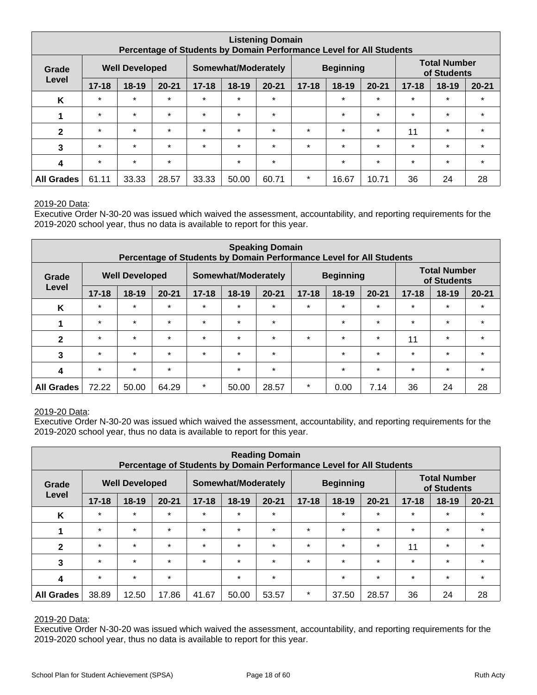| <b>Listening Domain</b><br>Percentage of Students by Domain Performance Level for All Students |           |                       |           |           |                     |           |           |                  |           |           |                                    |           |
|------------------------------------------------------------------------------------------------|-----------|-----------------------|-----------|-----------|---------------------|-----------|-----------|------------------|-----------|-----------|------------------------------------|-----------|
| Grade                                                                                          |           | <b>Well Developed</b> |           |           | Somewhat/Moderately |           |           | <b>Beginning</b> |           |           | <b>Total Number</b><br>of Students |           |
| Level                                                                                          | $17 - 18$ | $18 - 19$             | $20 - 21$ | $17 - 18$ | 18-19               | $20 - 21$ | $17 - 18$ | $18-19$          | $20 - 21$ | $17 - 18$ | 18-19                              | $20 - 21$ |
| K                                                                                              | $\star$   | $\star$               | $\star$   | $\star$   | $\star$             | $\star$   |           | $\star$          | $\star$   | $\star$   | $\star$                            | $\star$   |
| 1                                                                                              | $\star$   | $\star$               | $\star$   | $\star$   | $\star$             | $\star$   |           | $\star$          | $\star$   | $\star$   | $\star$                            | $\star$   |
| $\mathbf{2}$                                                                                   | $\star$   | $\star$               | $\star$   | $\star$   | $\star$             | $\star$   | $\star$   | $\star$          | $\star$   | 11        | $\star$                            | $\star$   |
| 3                                                                                              | $\star$   | $\star$               | $\star$   | $\star$   | $\star$             | $\star$   | $\star$   | $\star$          | $\star$   | $\star$   | $\star$                            | $\star$   |
| 4                                                                                              | $\star$   | $\star$               | $\star$   |           | $\star$             | $\star$   |           | $\star$          | $\star$   | $\star$   | $\star$                            | $\star$   |
| <b>All Grades</b>                                                                              | 61.11     | 33.33                 | 28.57     | 33.33     | 50.00               | 60.71     | $\star$   | 16.67            | 10.71     | 36        | 24                                 | 28        |

Executive Order N-30-20 was issued which waived the assessment, accountability, and reporting requirements for the 2019-2020 school year, thus no data is available to report for this year.

| <b>Speaking Domain</b><br>Percentage of Students by Domain Performance Level for All Students |                                                                           |         |           |           |           |           |           |           |           |                                    |           |           |
|-----------------------------------------------------------------------------------------------|---------------------------------------------------------------------------|---------|-----------|-----------|-----------|-----------|-----------|-----------|-----------|------------------------------------|-----------|-----------|
| Grade                                                                                         | <b>Beginning</b><br><b>Well Developed</b><br>Somewhat/Moderately<br>Level |         |           |           |           |           |           |           |           | <b>Total Number</b><br>of Students |           |           |
|                                                                                               | $17 - 18$                                                                 | $18-19$ | $20 - 21$ | $17 - 18$ | $18 - 19$ | $20 - 21$ | $17 - 18$ | $18 - 19$ | $20 - 21$ | $17 - 18$                          | $18 - 19$ | $20 - 21$ |
| K                                                                                             | $\star$                                                                   | $\star$ | $\star$   | $\star$   | $\star$   | $\star$   | $\star$   | $\star$   | $\star$   | $\star$                            | $\star$   | $\star$   |
| 1                                                                                             | $\star$                                                                   | $\star$ | $\star$   | $\star$   | $\star$   | $\star$   |           | $\star$   | $\star$   | $\star$                            | $\star$   | $\star$   |
| $\mathbf{2}$                                                                                  | $\star$                                                                   | $\star$ | $\star$   | $\star$   | $\star$   | $\star$   | $\star$   | $\star$   | $\star$   | 11                                 | $\star$   | $\star$   |
| 3                                                                                             | $\star$                                                                   | $\star$ | $\star$   | $\star$   | $\star$   | $\star$   |           | $\ast$    | $\star$   | $\star$                            | $\star$   | $\star$   |
| 4                                                                                             | $\star$                                                                   | $\star$ | $\star$   |           | $\star$   | $\star$   |           | $\star$   | $\star$   | $\star$                            | $\star$   | $\star$   |
| <b>All Grades</b>                                                                             | 72.22                                                                     | 50.00   | 64.29     | $\star$   | 50.00     | 28.57     | $\ast$    | 0.00      | 7.14      | 36                                 | 24        | 28        |

#### 2019-20 Data:

Executive Order N-30-20 was issued which waived the assessment, accountability, and reporting requirements for the 2019-2020 school year, thus no data is available to report for this year.

| <b>Reading Domain</b><br>Percentage of Students by Domain Performance Level for All Students |           |                       |           |           |                     |           |           |                  |           |           |                                    |           |
|----------------------------------------------------------------------------------------------|-----------|-----------------------|-----------|-----------|---------------------|-----------|-----------|------------------|-----------|-----------|------------------------------------|-----------|
| Grade                                                                                        |           | <b>Well Developed</b> |           |           | Somewhat/Moderately |           |           | <b>Beginning</b> |           |           | <b>Total Number</b><br>of Students |           |
| Level                                                                                        | $17 - 18$ | $18 - 19$             | $20 - 21$ | $17 - 18$ | 18-19               | $20 - 21$ | $17 - 18$ | $18-19$          | $20 - 21$ | $17 - 18$ | $18 - 19$                          | $20 - 21$ |
| K                                                                                            | $\star$   | $\star$               | $\star$   | $\star$   | $\star$             | $\star$   |           | $\star$          | $\star$   | $\star$   | $\star$                            | $\star$   |
| 1                                                                                            | $\star$   | $\star$               | $\star$   | $\star$   | $\star$             | $\star$   | $\star$   | $\star$          | $\star$   | $\star$   | $\star$                            | $\star$   |
| $\mathbf{2}$                                                                                 | $\star$   | $\star$               | $\star$   | $\star$   | $\star$             | $\star$   | $\star$   | $\star$          | $\star$   | 11        | $\star$                            | $\star$   |
| 3                                                                                            | $\star$   | $\star$               | $\star$   | $\star$   | $\star$             | $\star$   | $\star$   | $\star$          | $\star$   | $\star$   | $\star$                            | $\star$   |
| 4                                                                                            | $\star$   | $\star$               | $\star$   |           | $\star$             | $\star$   |           | $\star$          | $\star$   | $\star$   | $\star$                            | $\star$   |
| <b>All Grades</b>                                                                            | 38.89     | 12.50                 | 17.86     | 41.67     | 50.00               | 53.57     | $\star$   | 37.50            | 28.57     | 36        | 24                                 | 28        |

#### 2019-20 Data: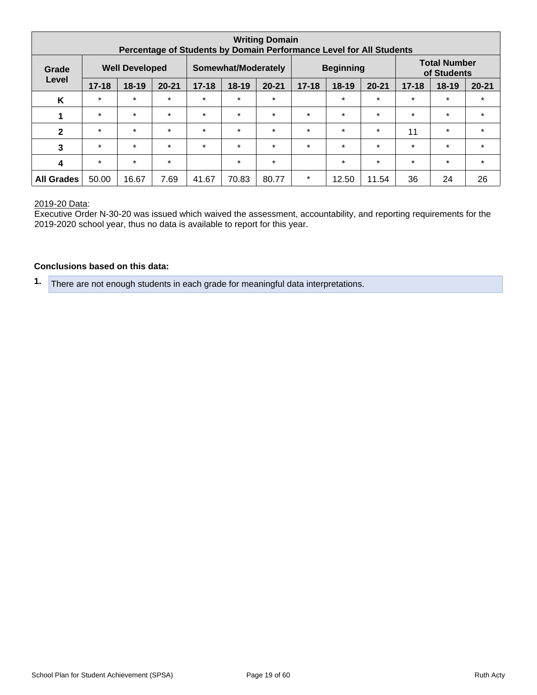| <b>Writing Domain</b><br>Percentage of Students by Domain Performance Level for All Students |           |                       |           |           |                     |           |           |                  |           |           |                                    |           |
|----------------------------------------------------------------------------------------------|-----------|-----------------------|-----------|-----------|---------------------|-----------|-----------|------------------|-----------|-----------|------------------------------------|-----------|
| Grade                                                                                        |           | <b>Well Developed</b> |           |           | Somewhat/Moderately |           |           | <b>Beginning</b> |           |           | <b>Total Number</b><br>of Students |           |
| Level                                                                                        | $17 - 18$ | $18-19$               | $20 - 21$ | $17 - 18$ | 18-19               | $20 - 21$ | $17 - 18$ | $18 - 19$        | $20 - 21$ | $17 - 18$ | 18-19                              | $20 - 21$ |
| K                                                                                            | $\star$   | $\star$               | $\star$   | $\star$   | $\star$             | $\star$   |           | $\star$          | $\star$   | $\star$   | $\star$                            | $\star$   |
| 1                                                                                            | $\star$   | $\star$               | $\star$   | $\star$   | $\star$             | $\star$   | $\star$   | $\star$          | $\star$   | $\star$   | $\star$                            | $\star$   |
| $\mathbf{2}$                                                                                 | $\star$   | $\star$               | $\star$   | $\star$   | $\star$             | $\star$   | $\star$   | $\star$          | $\star$   | 11        | $\star$                            | $\star$   |
| 3                                                                                            | $\star$   | $\star$               | $\star$   | $\star$   | $\star$             | $\star$   | $\star$   | $\star$          | $\star$   | $\star$   | $\star$                            | $\star$   |
| 4                                                                                            | $\star$   | $\star$               | $\star$   |           | $\star$             | $\star$   |           | $\star$          | $\star$   | $\star$   | $\star$                            | $\star$   |
| <b>All Grades</b>                                                                            | 50.00     | 16.67                 | 7.69      | 41.67     | 70.83               | 80.77     | $\star$   | 12.50            | 11.54     | 36        | 24                                 | 26        |

Executive Order N-30-20 was issued which waived the assessment, accountability, and reporting requirements for the 2019-2020 school year, thus no data is available to report for this year.

#### **Conclusions based on this data:**

**1.** There are not enough students in each grade for meaningful data interpretations.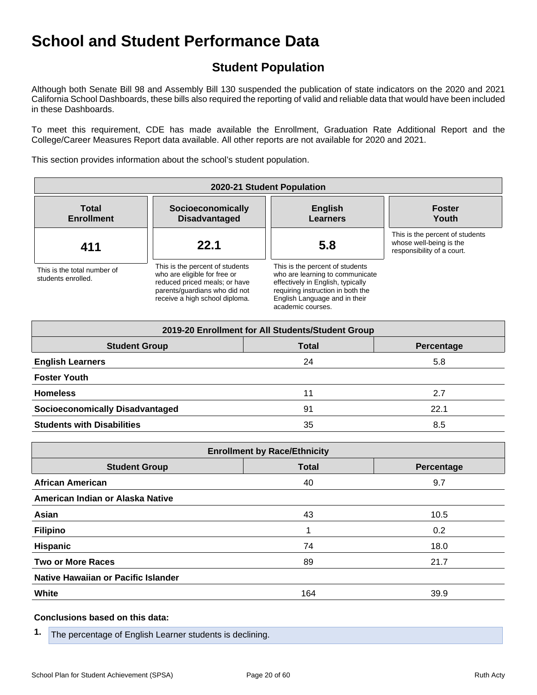## **Student Population**

Although both Senate Bill 98 and Assembly Bill 130 suspended the publication of state indicators on the 2020 and 2021 California School Dashboards, these bills also required the reporting of valid and reliable data that would have been included in these Dashboards.

To meet this requirement, CDE has made available the Enrollment, Graduation Rate Additional Report and the College/Career Measures Report data available. All other reports are not available for 2020 and 2021.

This section provides information about the school's student population.

| 2020-21 Student Population                        |                                                                                                                                                                     |                                                                                                                                                                                                    |                                                                                          |  |  |  |  |  |  |
|---------------------------------------------------|---------------------------------------------------------------------------------------------------------------------------------------------------------------------|----------------------------------------------------------------------------------------------------------------------------------------------------------------------------------------------------|------------------------------------------------------------------------------------------|--|--|--|--|--|--|
| <b>Total</b><br><b>Enrollment</b>                 | Socioeconomically<br><b>Disadvantaged</b>                                                                                                                           | <b>English</b><br><b>Learners</b>                                                                                                                                                                  | <b>Foster</b><br>Youth                                                                   |  |  |  |  |  |  |
| 411                                               | 22.1                                                                                                                                                                | 5.8                                                                                                                                                                                                | This is the percent of students<br>whose well-being is the<br>responsibility of a court. |  |  |  |  |  |  |
| This is the total number of<br>students enrolled. | This is the percent of students<br>who are eligible for free or<br>reduced priced meals; or have<br>parents/quardians who did not<br>receive a high school diploma. | This is the percent of students<br>who are learning to communicate<br>effectively in English, typically<br>requiring instruction in both the<br>English Language and in their<br>academic courses. |                                                                                          |  |  |  |  |  |  |

| 2019-20 Enrollment for All Students/Student Group |              |            |  |  |  |  |  |  |  |
|---------------------------------------------------|--------------|------------|--|--|--|--|--|--|--|
| <b>Student Group</b>                              | <b>Total</b> | Percentage |  |  |  |  |  |  |  |
| <b>English Learners</b>                           | 24           | 5.8        |  |  |  |  |  |  |  |
| <b>Foster Youth</b>                               |              |            |  |  |  |  |  |  |  |
| <b>Homeless</b>                                   | 11           | 2.7        |  |  |  |  |  |  |  |
| <b>Socioeconomically Disadvantaged</b>            | 91           | 22.1       |  |  |  |  |  |  |  |
| <b>Students with Disabilities</b>                 | 35           | 8.5        |  |  |  |  |  |  |  |

| <b>Enrollment by Race/Ethnicity</b> |              |            |  |  |
|-------------------------------------|--------------|------------|--|--|
| <b>Student Group</b>                | <b>Total</b> | Percentage |  |  |
| <b>African American</b>             | 40           | 9.7        |  |  |
| American Indian or Alaska Native    |              |            |  |  |
| Asian                               | 43           | 10.5       |  |  |
| <b>Filipino</b>                     | 1            | 0.2        |  |  |
| <b>Hispanic</b>                     | 74           | 18.0       |  |  |
| <b>Two or More Races</b>            | 89           | 21.7       |  |  |
| Native Hawaiian or Pacific Islander |              |            |  |  |
| White                               | 164          | 39.9       |  |  |

#### **Conclusions based on this data:**

**1.** The percentage of English Learner students is declining.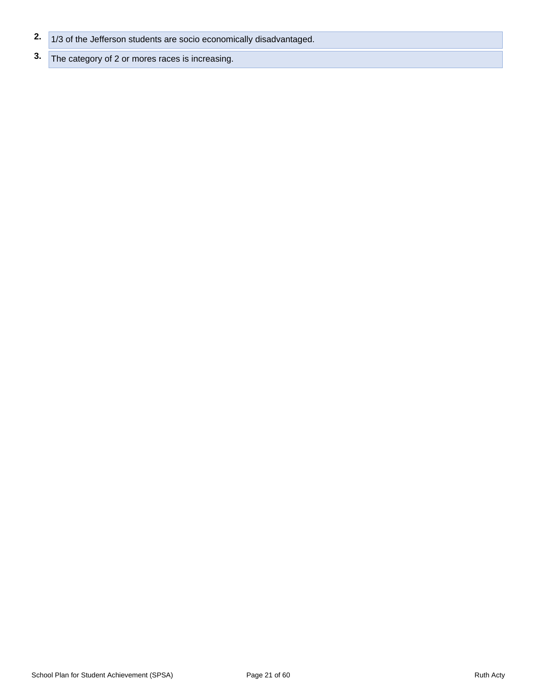- **2.** 1/3 of the Jefferson students are socio economically disadvantaged.
- **3.** The category of 2 or mores races is increasing.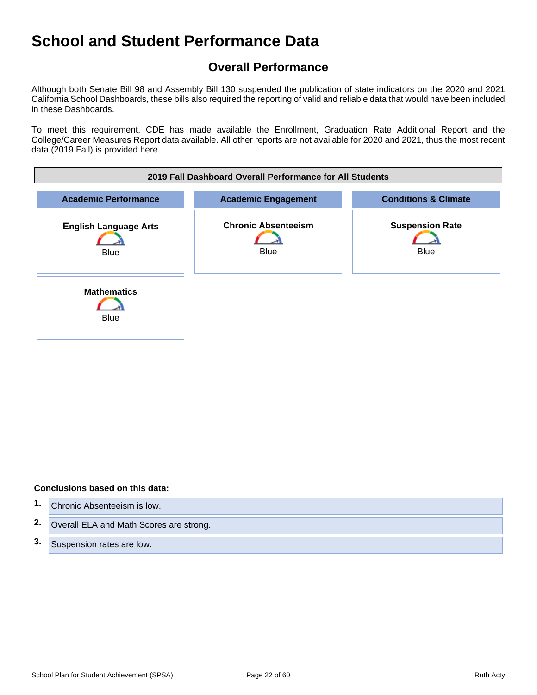## **Overall Performance**

Although both Senate Bill 98 and Assembly Bill 130 suspended the publication of state indicators on the 2020 and 2021 California School Dashboards, these bills also required the reporting of valid and reliable data that would have been included in these Dashboards.

To meet this requirement, CDE has made available the Enrollment, Graduation Rate Additional Report and the College/Career Measures Report data available. All other reports are not available for 2020 and 2021, thus the most recent data (2019 Fall) is provided here.



#### **Conclusions based on this data:**

- **1.** Chronic Absenteeism is low.
- **2.** Overall ELA and Math Scores are strong.
- **3.** Suspension rates are low.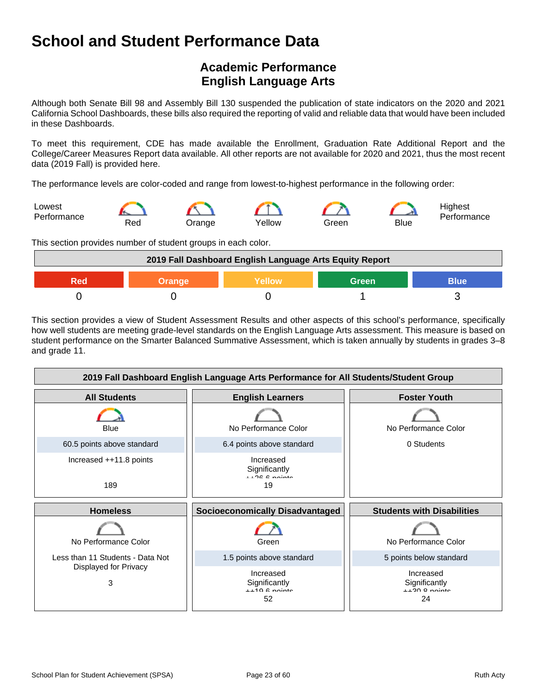## **Academic Performance English Language Arts**

Although both Senate Bill 98 and Assembly Bill 130 suspended the publication of state indicators on the 2020 and 2021 California School Dashboards, these bills also required the reporting of valid and reliable data that would have been included in these Dashboards.

To meet this requirement, CDE has made available the Enrollment, Graduation Rate Additional Report and the College/Career Measures Report data available. All other reports are not available for 2020 and 2021, thus the most recent data (2019 Fall) is provided here.

The performance levels are color-coded and range from lowest-to-highest performance in the following order:



This section provides number of student groups in each color.

| 2019 Fall Dashboard English Language Arts Equity Report |  |  |  |  |
|---------------------------------------------------------|--|--|--|--|
| <b>Blue</b><br><b>Green</b><br><b>Yellow</b><br>Orange  |  |  |  |  |
|                                                         |  |  |  |  |

This section provides a view of Student Assessment Results and other aspects of this school's performance, specifically how well students are meeting grade-level standards on the English Language Arts assessment. This measure is based on student performance on the Smarter Balanced Summative Assessment, which is taken annually by students in grades 3–8 and grade 11.

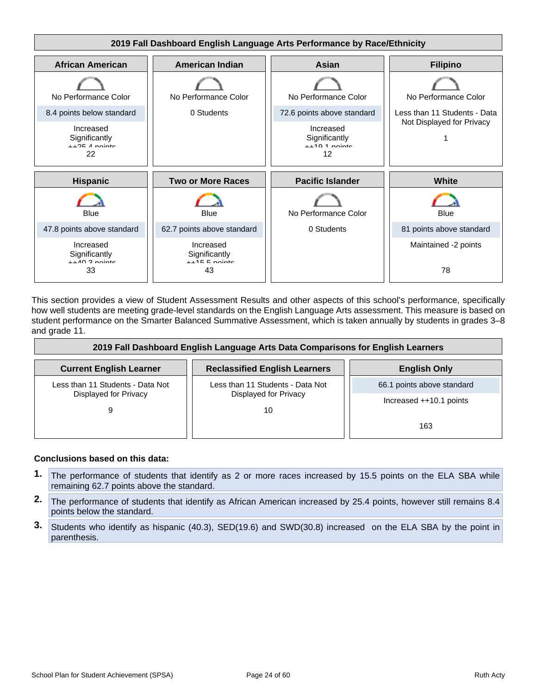

This section provides a view of Student Assessment Results and other aspects of this school's performance, specifically how well students are meeting grade-level standards on the English Language Arts assessment. This measure is based on student performance on the Smarter Balanced Summative Assessment, which is taken annually by students in grades 3–8 and grade 11.

| 2019 Fall Dashboard English Language Arts Data Comparisons for English Learners |                                                           |                            |  |
|---------------------------------------------------------------------------------|-----------------------------------------------------------|----------------------------|--|
| <b>Current English Learner</b>                                                  | <b>Reclassified English Learners</b>                      | <b>English Only</b>        |  |
| Less than 11 Students - Data Not                                                | Less than 11 Students - Data Not<br>Displayed for Privacy | 66.1 points above standard |  |
| Displayed for Privacy                                                           |                                                           | Increased $++10.1$ points  |  |
| 9                                                                               | 10                                                        | 163                        |  |

#### **Conclusions based on this data:**

- **1.** The performance of students that identify as 2 or more races increased by 15.5 points on the ELA SBA while remaining 62.7 points above the standard.
- **2.** The performance of students that identify as African American increased by 25.4 points, however still remains 8.4 points below the standard.
- **3.** Students who identify as hispanic (40.3), SED(19.6) and SWD(30.8) increased on the ELA SBA by the point in parenthesis.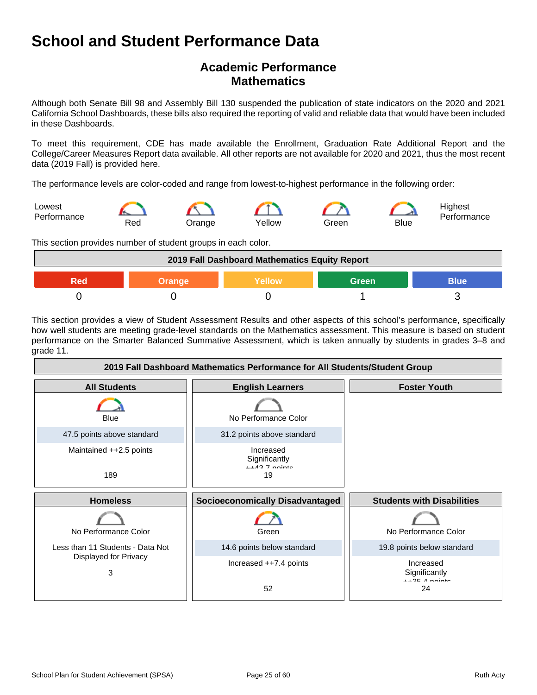## **Academic Performance Mathematics**

Although both Senate Bill 98 and Assembly Bill 130 suspended the publication of state indicators on the 2020 and 2021 California School Dashboards, these bills also required the reporting of valid and reliable data that would have been included in these Dashboards.

To meet this requirement, CDE has made available the Enrollment, Graduation Rate Additional Report and the College/Career Measures Report data available. All other reports are not available for 2020 and 2021, thus the most recent data (2019 Fall) is provided here.

The performance levels are color-coded and range from lowest-to-highest performance in the following order:



This section provides number of student groups in each color.



This section provides a view of Student Assessment Results and other aspects of this school's performance, specifically how well students are meeting grade-level standards on the Mathematics assessment. This measure is based on student performance on the Smarter Balanced Summative Assessment, which is taken annually by students in grades 3–8 and grade 11.

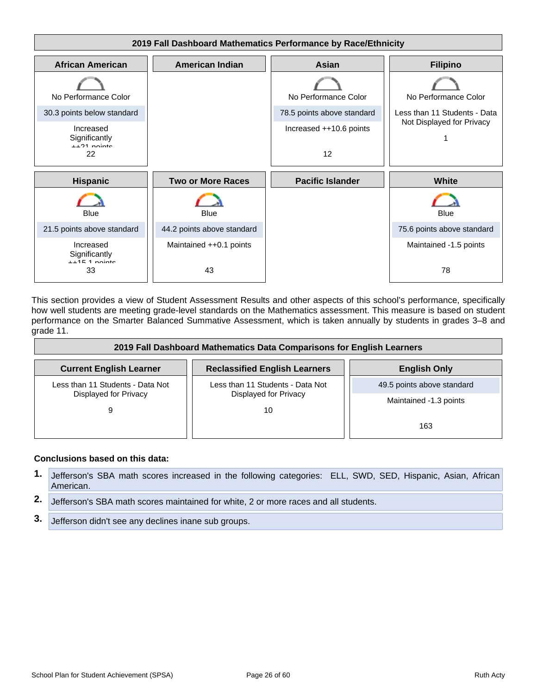

This section provides a view of Student Assessment Results and other aspects of this school's performance, specifically how well students are meeting grade-level standards on the Mathematics assessment. This measure is based on student performance on the Smarter Balanced Summative Assessment, which is taken annually by students in grades 3–8 and grade 11.

| 2019 Fall Dashboard Mathematics Data Comparisons for English Learners |                                      |                            |  |
|-----------------------------------------------------------------------|--------------------------------------|----------------------------|--|
| <b>Current English Learner</b>                                        | <b>Reclassified English Learners</b> | <b>English Only</b>        |  |
| Less than 11 Students - Data Not                                      | Less than 11 Students - Data Not     | 49.5 points above standard |  |
| Displayed for Privacy<br>9                                            | Displayed for Privacy<br>10          | Maintained -1.3 points     |  |
|                                                                       |                                      | 163                        |  |

#### **Conclusions based on this data:**

- **1.** Jefferson's SBA math scores increased in the following categories: ELL, SWD, SED, Hispanic, Asian, African American.
- **2.** Jefferson's SBA math scores maintained for white, 2 or more races and all students.
- **3.** Jefferson didn't see any declines inane sub groups.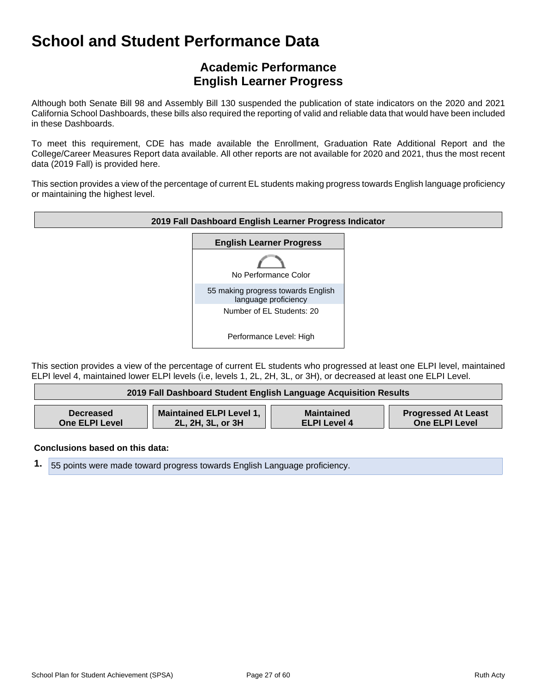## **Academic Performance English Learner Progress**

Although both Senate Bill 98 and Assembly Bill 130 suspended the publication of state indicators on the 2020 and 2021 California School Dashboards, these bills also required the reporting of valid and reliable data that would have been included in these Dashboards.

To meet this requirement, CDE has made available the Enrollment, Graduation Rate Additional Report and the College/Career Measures Report data available. All other reports are not available for 2020 and 2021, thus the most recent data (2019 Fall) is provided here.

This section provides a view of the percentage of current EL students making progress towards English language proficiency or maintaining the highest level.



This section provides a view of the percentage of current EL students who progressed at least one ELPI level, maintained ELPI level 4, maintained lower ELPI levels (i.e, levels 1, 2L, 2H, 3L, or 3H), or decreased at least one ELPI Level.

| 2019 Fall Dashboard Student English Language Acquisition Results |                          |                     |                            |
|------------------------------------------------------------------|--------------------------|---------------------|----------------------------|
| <b>Decreased</b>                                                 | Maintained ELPI Level 1, | <b>Maintained</b>   | <b>Progressed At Least</b> |
| <b>One ELPI Level</b>                                            | 2L, 2H, 3L, or 3H        | <b>ELPI Level 4</b> | <b>One ELPI Level</b>      |

**Conclusions based on this data:**

**1.** 55 points were made toward progress towards English Language proficiency.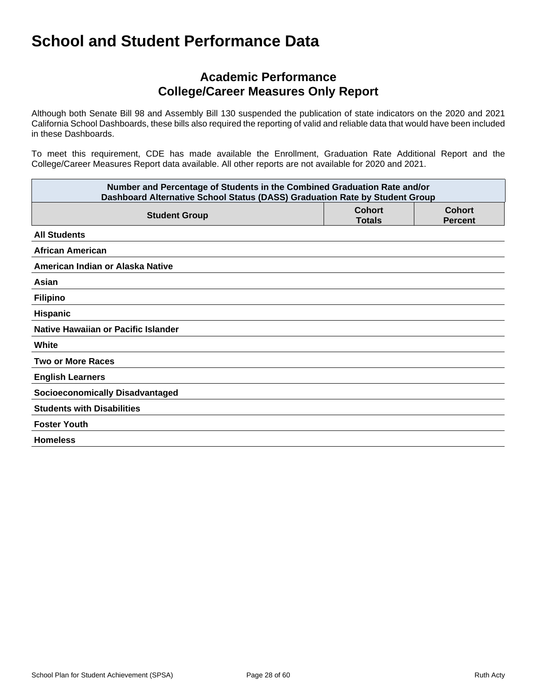## **Academic Performance College/Career Measures Only Report**

Although both Senate Bill 98 and Assembly Bill 130 suspended the publication of state indicators on the 2020 and 2021 California School Dashboards, these bills also required the reporting of valid and reliable data that would have been included in these Dashboards.

To meet this requirement, CDE has made available the Enrollment, Graduation Rate Additional Report and the College/Career Measures Report data available. All other reports are not available for 2020 and 2021.

| Number and Percentage of Students in the Combined Graduation Rate and/or<br>Dashboard Alternative School Status (DASS) Graduation Rate by Student Group |                                |                                 |  |
|---------------------------------------------------------------------------------------------------------------------------------------------------------|--------------------------------|---------------------------------|--|
| <b>Student Group</b>                                                                                                                                    | <b>Cohort</b><br><b>Totals</b> | <b>Cohort</b><br><b>Percent</b> |  |
| <b>All Students</b>                                                                                                                                     |                                |                                 |  |
| <b>African American</b>                                                                                                                                 |                                |                                 |  |
| American Indian or Alaska Native                                                                                                                        |                                |                                 |  |
| Asian                                                                                                                                                   |                                |                                 |  |
| <b>Filipino</b>                                                                                                                                         |                                |                                 |  |
| <b>Hispanic</b>                                                                                                                                         |                                |                                 |  |
| Native Hawaiian or Pacific Islander                                                                                                                     |                                |                                 |  |
| White                                                                                                                                                   |                                |                                 |  |
| <b>Two or More Races</b>                                                                                                                                |                                |                                 |  |
| <b>English Learners</b>                                                                                                                                 |                                |                                 |  |
| <b>Socioeconomically Disadvantaged</b>                                                                                                                  |                                |                                 |  |
| <b>Students with Disabilities</b>                                                                                                                       |                                |                                 |  |
| <b>Foster Youth</b>                                                                                                                                     |                                |                                 |  |
| <b>Homeless</b>                                                                                                                                         |                                |                                 |  |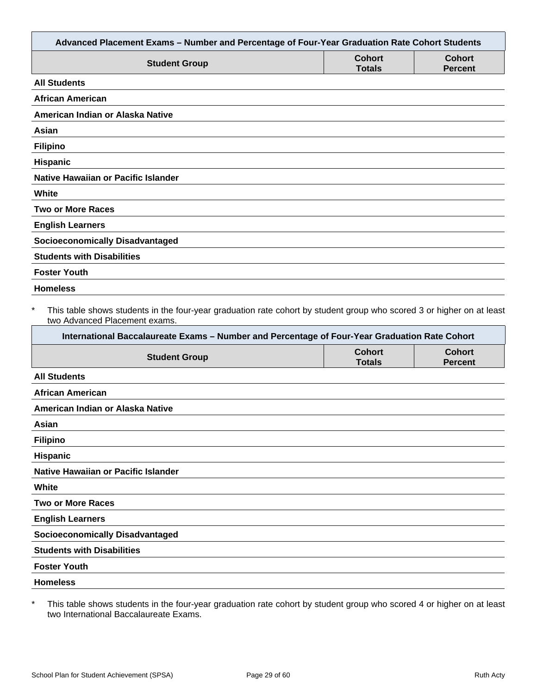|                                                                                                                                                                                                                                                                   |                                | Advanced Placement Exams - Number and Percentage of Four-Year Graduation Rate Cohort Students |
|-------------------------------------------------------------------------------------------------------------------------------------------------------------------------------------------------------------------------------------------------------------------|--------------------------------|-----------------------------------------------------------------------------------------------|
| <b>Student Group</b>                                                                                                                                                                                                                                              | <b>Cohort</b><br><b>Totals</b> | <b>Cohort</b><br><b>Percent</b>                                                               |
| <b>All Students</b>                                                                                                                                                                                                                                               |                                |                                                                                               |
| <b>African American</b>                                                                                                                                                                                                                                           |                                |                                                                                               |
| American Indian or Alaska Native                                                                                                                                                                                                                                  |                                |                                                                                               |
| Asian                                                                                                                                                                                                                                                             |                                |                                                                                               |
| <b>Filipino</b>                                                                                                                                                                                                                                                   |                                |                                                                                               |
| Hispanic                                                                                                                                                                                                                                                          |                                |                                                                                               |
| <b>Native Hawaiian or Pacific Islander</b>                                                                                                                                                                                                                        |                                |                                                                                               |
| White                                                                                                                                                                                                                                                             |                                |                                                                                               |
| <b>Two or More Races</b>                                                                                                                                                                                                                                          |                                |                                                                                               |
| <b>English Learners</b>                                                                                                                                                                                                                                           |                                |                                                                                               |
| <b>Socioeconomically Disadvantaged</b>                                                                                                                                                                                                                            |                                |                                                                                               |
| <b>Students with Disabilities</b>                                                                                                                                                                                                                                 |                                |                                                                                               |
| <b>Foster Youth</b>                                                                                                                                                                                                                                               |                                |                                                                                               |
| <b>Homeless</b>                                                                                                                                                                                                                                                   |                                |                                                                                               |
| $\ast$<br>This table shows students in the four-year graduation rate cohort by student group who scored 3 or higher on at least<br>two Advanced Placement exams.<br>International Baccalaureate Exams - Number and Percentage of Four-Year Graduation Rate Cohort |                                |                                                                                               |
| <b>Student Group</b>                                                                                                                                                                                                                                              | <b>Cohort</b><br><b>Totals</b> | <b>Cohort</b>                                                                                 |
|                                                                                                                                                                                                                                                                   |                                | <b>Percent</b>                                                                                |
| <b>All Students</b>                                                                                                                                                                                                                                               |                                |                                                                                               |
| <b>African American</b>                                                                                                                                                                                                                                           |                                |                                                                                               |
| American Indian or Alaska Native                                                                                                                                                                                                                                  |                                |                                                                                               |
| Asian                                                                                                                                                                                                                                                             |                                |                                                                                               |
| <b>Filipino</b>                                                                                                                                                                                                                                                   |                                |                                                                                               |
| Hispanic                                                                                                                                                                                                                                                          |                                |                                                                                               |
| Native Hawaiian or Pacific Islander                                                                                                                                                                                                                               |                                |                                                                                               |
| White                                                                                                                                                                                                                                                             |                                |                                                                                               |
| <b>Two or More Races</b>                                                                                                                                                                                                                                          |                                |                                                                                               |
| <b>English Learners</b>                                                                                                                                                                                                                                           |                                |                                                                                               |
| <b>Socioeconomically Disadvantaged</b>                                                                                                                                                                                                                            |                                |                                                                                               |
| <b>Students with Disabilities</b>                                                                                                                                                                                                                                 |                                |                                                                                               |
| <b>Foster Youth</b>                                                                                                                                                                                                                                               |                                |                                                                                               |
| <b>Homeless</b>                                                                                                                                                                                                                                                   |                                |                                                                                               |

\* This table shows students in the four-year graduation rate cohort by student group who scored 4 or higher on at least two International Baccalaureate Exams.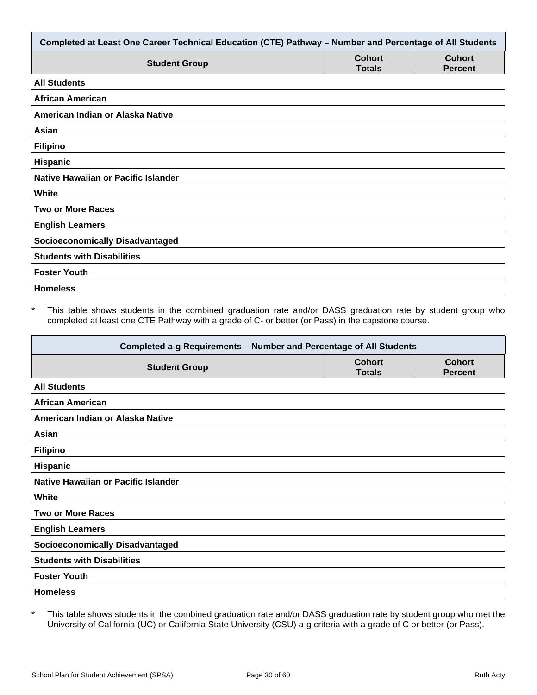| Completed at Least One Career Technical Education (CTE) Pathway - Number and Percentage of All Students |                                |                                 |  |
|---------------------------------------------------------------------------------------------------------|--------------------------------|---------------------------------|--|
| <b>Student Group</b>                                                                                    | <b>Cohort</b><br><b>Totals</b> | <b>Cohort</b><br><b>Percent</b> |  |
| <b>All Students</b>                                                                                     |                                |                                 |  |
| <b>African American</b>                                                                                 |                                |                                 |  |
| American Indian or Alaska Native                                                                        |                                |                                 |  |
| Asian                                                                                                   |                                |                                 |  |
| <b>Filipino</b>                                                                                         |                                |                                 |  |
| Hispanic                                                                                                |                                |                                 |  |
| Native Hawaiian or Pacific Islander                                                                     |                                |                                 |  |
| White                                                                                                   |                                |                                 |  |
| <b>Two or More Races</b>                                                                                |                                |                                 |  |
| <b>English Learners</b>                                                                                 |                                |                                 |  |
| <b>Socioeconomically Disadvantaged</b>                                                                  |                                |                                 |  |
| <b>Students with Disabilities</b>                                                                       |                                |                                 |  |
| <b>Foster Youth</b>                                                                                     |                                |                                 |  |
| <b>Homeless</b>                                                                                         |                                |                                 |  |

\* This table shows students in the combined graduation rate and/or DASS graduation rate by student group who completed at least one CTE Pathway with a grade of C- or better (or Pass) in the capstone course.

| Completed a-g Requirements - Number and Percentage of All Students |                                |                                 |  |
|--------------------------------------------------------------------|--------------------------------|---------------------------------|--|
| <b>Student Group</b>                                               | <b>Cohort</b><br><b>Totals</b> | <b>Cohort</b><br><b>Percent</b> |  |
| <b>All Students</b>                                                |                                |                                 |  |
| <b>African American</b>                                            |                                |                                 |  |
| American Indian or Alaska Native                                   |                                |                                 |  |
| Asian                                                              |                                |                                 |  |
| <b>Filipino</b>                                                    |                                |                                 |  |
| <b>Hispanic</b>                                                    |                                |                                 |  |
| Native Hawaiian or Pacific Islander                                |                                |                                 |  |
| White                                                              |                                |                                 |  |
| <b>Two or More Races</b>                                           |                                |                                 |  |
| <b>English Learners</b>                                            |                                |                                 |  |
| <b>Socioeconomically Disadvantaged</b>                             |                                |                                 |  |
| <b>Students with Disabilities</b>                                  |                                |                                 |  |
| <b>Foster Youth</b>                                                |                                |                                 |  |
| <b>Homeless</b>                                                    |                                |                                 |  |

\* This table shows students in the combined graduation rate and/or DASS graduation rate by student group who met the University of California (UC) or California State University (CSU) a-g criteria with a grade of C or better (or Pass).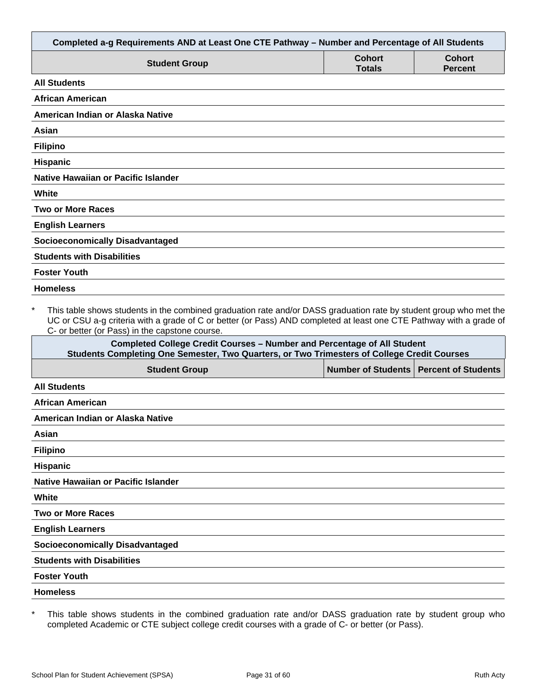| Completed a-g Requirements AND at Least One CTE Pathway - Number and Percentage of All Students                                                                                                                                                                                                        |                                |                                 |
|--------------------------------------------------------------------------------------------------------------------------------------------------------------------------------------------------------------------------------------------------------------------------------------------------------|--------------------------------|---------------------------------|
| <b>Student Group</b>                                                                                                                                                                                                                                                                                   | <b>Cohort</b><br><b>Totals</b> | <b>Cohort</b><br><b>Percent</b> |
| <b>All Students</b>                                                                                                                                                                                                                                                                                    |                                |                                 |
| <b>African American</b>                                                                                                                                                                                                                                                                                |                                |                                 |
| American Indian or Alaska Native                                                                                                                                                                                                                                                                       |                                |                                 |
| Asian                                                                                                                                                                                                                                                                                                  |                                |                                 |
| <b>Filipino</b>                                                                                                                                                                                                                                                                                        |                                |                                 |
| <b>Hispanic</b>                                                                                                                                                                                                                                                                                        |                                |                                 |
| <b>Native Hawaiian or Pacific Islander</b>                                                                                                                                                                                                                                                             |                                |                                 |
| White                                                                                                                                                                                                                                                                                                  |                                |                                 |
| <b>Two or More Races</b>                                                                                                                                                                                                                                                                               |                                |                                 |
| <b>English Learners</b>                                                                                                                                                                                                                                                                                |                                |                                 |
| <b>Socioeconomically Disadvantaged</b>                                                                                                                                                                                                                                                                 |                                |                                 |
| <b>Students with Disabilities</b>                                                                                                                                                                                                                                                                      |                                |                                 |
| <b>Foster Youth</b>                                                                                                                                                                                                                                                                                    |                                |                                 |
| <b>Homeless</b>                                                                                                                                                                                                                                                                                        |                                |                                 |
| $\star$<br>This table shows students in the combined graduation rate and/or DASS graduation rate by student group who met the<br>UC or CSU a-g criteria with a grade of C or better (or Pass) AND completed at least one CTE Pathway with a grade of<br>C- or better (or Pass) in the capstone course. |                                |                                 |
| <b>Completed College Credit Courses - Number and Percentage of All Student</b><br>Students Completing One Semester, Two Quarters, or Two Trimesters of College Credit Courses                                                                                                                          |                                |                                 |
| <b>Student Group</b>                                                                                                                                                                                                                                                                                   | <b>Number of Students</b>      | <b>Percent of Students</b>      |
| <b>All Students</b>                                                                                                                                                                                                                                                                                    |                                |                                 |
| <b>African American</b>                                                                                                                                                                                                                                                                                |                                |                                 |
| American Indian or Alaska Native                                                                                                                                                                                                                                                                       |                                |                                 |

| . .<br>v<br>× |
|---------------|
|               |

**Filipino**

**Hispanic**

**Native Hawaiian or Pacific Islander**

**White**

**Two or More Races**

**English Learners**

**Socioeconomically Disadvantaged**

**Students with Disabilities**

**Foster Youth**

**Homeless**

\* This table shows students in the combined graduation rate and/or DASS graduation rate by student group who completed Academic or CTE subject college credit courses with a grade of C- or better (or Pass).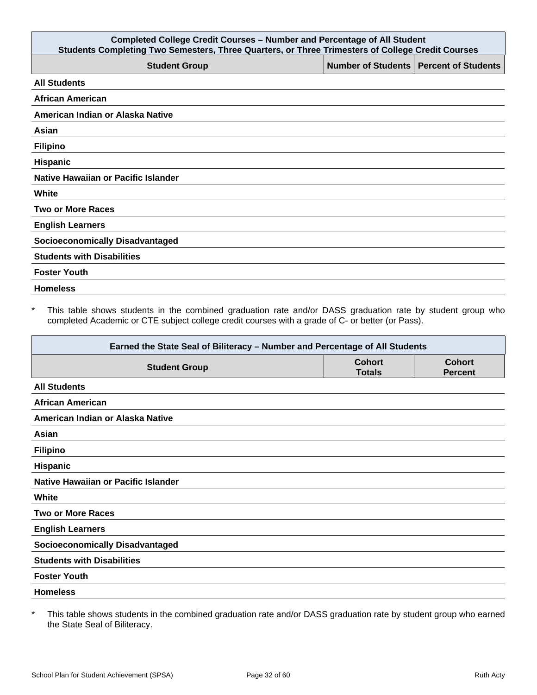| <b>Completed College Credit Courses - Number and Percentage of All Student</b><br>Students Completing Two Semesters, Three Quarters, or Three Trimesters of College Credit Courses |                                          |  |  |
|------------------------------------------------------------------------------------------------------------------------------------------------------------------------------------|------------------------------------------|--|--|
| <b>Student Group</b>                                                                                                                                                               | Number of Students   Percent of Students |  |  |
| <b>All Students</b>                                                                                                                                                                |                                          |  |  |
| <b>African American</b>                                                                                                                                                            |                                          |  |  |
| American Indian or Alaska Native                                                                                                                                                   |                                          |  |  |
| Asian                                                                                                                                                                              |                                          |  |  |
| <b>Filipino</b>                                                                                                                                                                    |                                          |  |  |
| Hispanic                                                                                                                                                                           |                                          |  |  |
| Native Hawaiian or Pacific Islander                                                                                                                                                |                                          |  |  |
| White                                                                                                                                                                              |                                          |  |  |
| <b>Two or More Races</b>                                                                                                                                                           |                                          |  |  |
| <b>English Learners</b>                                                                                                                                                            |                                          |  |  |
| <b>Socioeconomically Disadvantaged</b>                                                                                                                                             |                                          |  |  |
| <b>Students with Disabilities</b>                                                                                                                                                  |                                          |  |  |
| <b>Foster Youth</b>                                                                                                                                                                |                                          |  |  |
| <b>Homeless</b>                                                                                                                                                                    |                                          |  |  |

\* This table shows students in the combined graduation rate and/or DASS graduation rate by student group who completed Academic or CTE subject college credit courses with a grade of C- or better (or Pass).

| Earned the State Seal of Biliteracy - Number and Percentage of All Students |                                |                                 |
|-----------------------------------------------------------------------------|--------------------------------|---------------------------------|
| <b>Student Group</b>                                                        | <b>Cohort</b><br><b>Totals</b> | <b>Cohort</b><br><b>Percent</b> |
| <b>All Students</b>                                                         |                                |                                 |
| <b>African American</b>                                                     |                                |                                 |
| American Indian or Alaska Native                                            |                                |                                 |
| Asian                                                                       |                                |                                 |
| <b>Filipino</b>                                                             |                                |                                 |
| Hispanic                                                                    |                                |                                 |
| Native Hawaiian or Pacific Islander                                         |                                |                                 |
| White                                                                       |                                |                                 |
| <b>Two or More Races</b>                                                    |                                |                                 |
| <b>English Learners</b>                                                     |                                |                                 |
| <b>Socioeconomically Disadvantaged</b>                                      |                                |                                 |
| <b>Students with Disabilities</b>                                           |                                |                                 |
| <b>Foster Youth</b>                                                         |                                |                                 |
| <b>Homeless</b>                                                             |                                |                                 |

\* This table shows students in the combined graduation rate and/or DASS graduation rate by student group who earned the State Seal of Biliteracy.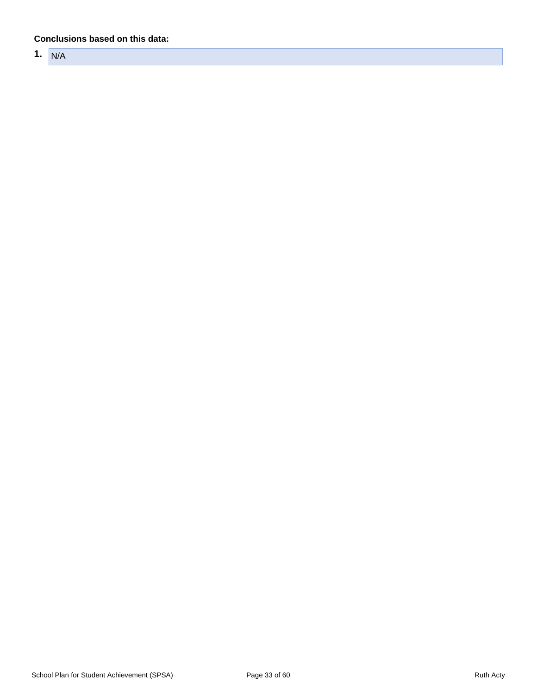#### **Conclusions based on this data:**

**1.** N/A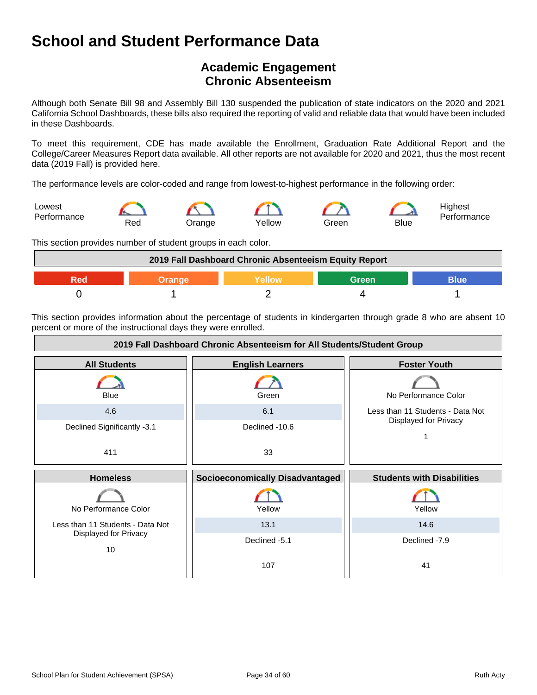## **Academic Engagement Chronic Absenteeism**

Although both Senate Bill 98 and Assembly Bill 130 suspended the publication of state indicators on the 2020 and 2021 California School Dashboards, these bills also required the reporting of valid and reliable data that would have been included in these Dashboards.

To meet this requirement, CDE has made available the Enrollment, Graduation Rate Additional Report and the College/Career Measures Report data available. All other reports are not available for 2020 and 2021, thus the most recent data (2019 Fall) is provided here.

The performance levels are color-coded and range from lowest-to-highest performance in the following order:



This section provides number of student groups in each color.



This section provides information about the percentage of students in kindergarten through grade 8 who are absent 10 percent or more of the instructional days they were enrolled.

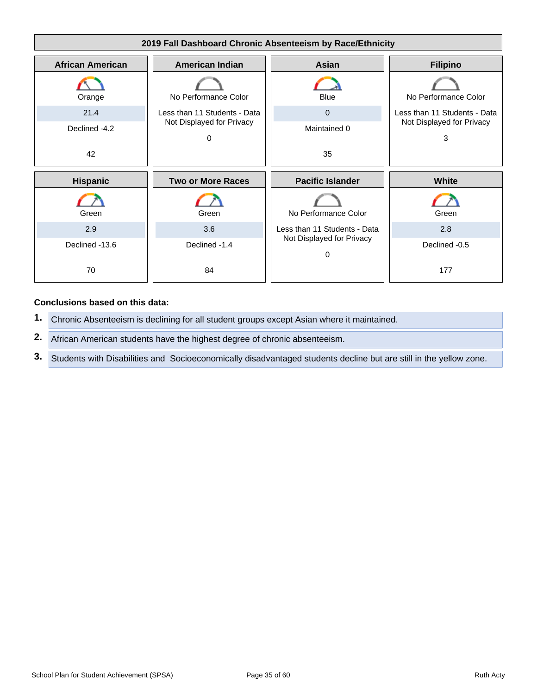

#### **Conclusions based on this data:**

**1.** Chronic Absenteeism is declining for all student groups except Asian where it maintained.

**2.** African American students have the highest degree of chronic absenteeism.

**3.** Students with Disabilities and Socioeconomically disadvantaged students decline but are still in the yellow zone.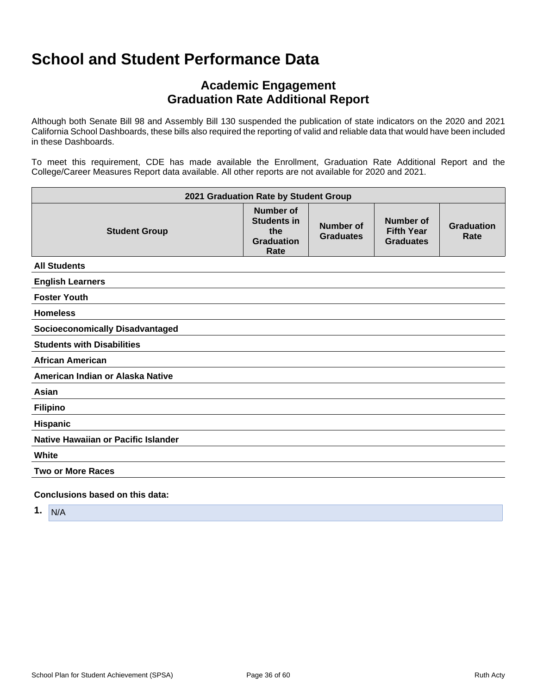## **Academic Engagement Graduation Rate Additional Report**

Although both Senate Bill 98 and Assembly Bill 130 suspended the publication of state indicators on the 2020 and 2021 California School Dashboards, these bills also required the reporting of valid and reliable data that would have been included in these Dashboards.

To meet this requirement, CDE has made available the Enrollment, Graduation Rate Additional Report and the College/Career Measures Report data available. All other reports are not available for 2020 and 2021.

| 2021 Graduation Rate by Student Group  |                                                                            |                                      |                                                    |                           |
|----------------------------------------|----------------------------------------------------------------------------|--------------------------------------|----------------------------------------------------|---------------------------|
| <b>Student Group</b>                   | <b>Number of</b><br><b>Students in</b><br>the<br><b>Graduation</b><br>Rate | <b>Number of</b><br><b>Graduates</b> | Number of<br><b>Fifth Year</b><br><b>Graduates</b> | <b>Graduation</b><br>Rate |
| <b>All Students</b>                    |                                                                            |                                      |                                                    |                           |
| <b>English Learners</b>                |                                                                            |                                      |                                                    |                           |
| <b>Foster Youth</b>                    |                                                                            |                                      |                                                    |                           |
| <b>Homeless</b>                        |                                                                            |                                      |                                                    |                           |
| <b>Socioeconomically Disadvantaged</b> |                                                                            |                                      |                                                    |                           |
| <b>Students with Disabilities</b>      |                                                                            |                                      |                                                    |                           |
| <b>African American</b>                |                                                                            |                                      |                                                    |                           |
| American Indian or Alaska Native       |                                                                            |                                      |                                                    |                           |
| Asian                                  |                                                                            |                                      |                                                    |                           |
| <b>Filipino</b>                        |                                                                            |                                      |                                                    |                           |
| Hispanic                               |                                                                            |                                      |                                                    |                           |
| Native Hawaiian or Pacific Islander    |                                                                            |                                      |                                                    |                           |
| White                                  |                                                                            |                                      |                                                    |                           |
| <b>Two or More Races</b>               |                                                                            |                                      |                                                    |                           |
| Conclusions based on this data:        |                                                                            |                                      |                                                    |                           |

**1.** N/A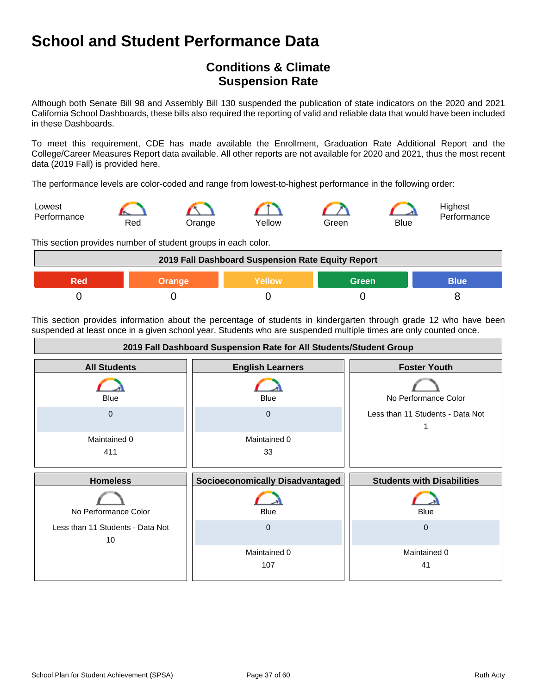## **Conditions & Climate Suspension Rate**

Although both Senate Bill 98 and Assembly Bill 130 suspended the publication of state indicators on the 2020 and 2021 California School Dashboards, these bills also required the reporting of valid and reliable data that would have been included in these Dashboards.

To meet this requirement, CDE has made available the Enrollment, Graduation Rate Additional Report and the College/Career Measures Report data available. All other reports are not available for 2020 and 2021, thus the most recent data (2019 Fall) is provided here.

The performance levels are color-coded and range from lowest-to-highest performance in the following order:



This section provides number of student groups in each color.



This section provides information about the percentage of students in kindergarten through grade 12 who have been suspended at least once in a given school year. Students who are suspended multiple times are only counted once.

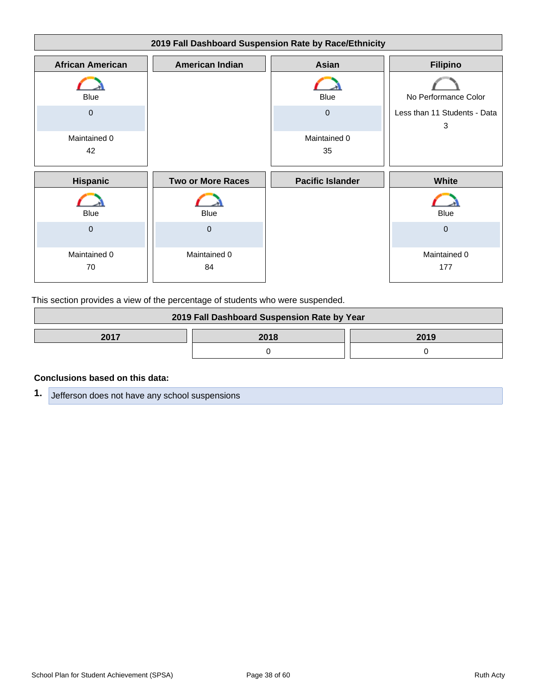| 2019 Fall Dashboard Suspension Rate by Race/Ethnicity |                          |                         |                                   |
|-------------------------------------------------------|--------------------------|-------------------------|-----------------------------------|
| <b>African American</b>                               | <b>American Indian</b>   | <b>Asian</b>            | <b>Filipino</b>                   |
| <b>Blue</b>                                           |                          | <b>Blue</b>             | No Performance Color              |
| $\mathbf 0$                                           |                          | $\mathbf 0$             | Less than 11 Students - Data<br>3 |
| Maintained 0<br>42                                    |                          | Maintained 0<br>35      |                                   |
| Hispanic                                              | <b>Two or More Races</b> | <b>Pacific Islander</b> | White                             |
| <b>Blue</b>                                           | <b>Blue</b>              |                         | <b>Blue</b>                       |
| $\mathbf{0}$                                          | $\mathbf 0$              |                         | $\mathbf 0$                       |
| Maintained 0<br>70                                    | Maintained 0<br>84       |                         | Maintained 0<br>177               |

This section provides a view of the percentage of students who were suspended.

| 2019 Fall Dashboard Suspension Rate by Year |      |      |
|---------------------------------------------|------|------|
| 2017                                        | 2018 | 2019 |
|                                             |      |      |

#### **Conclusions based on this data:**

**1.** Jefferson does not have any school suspensions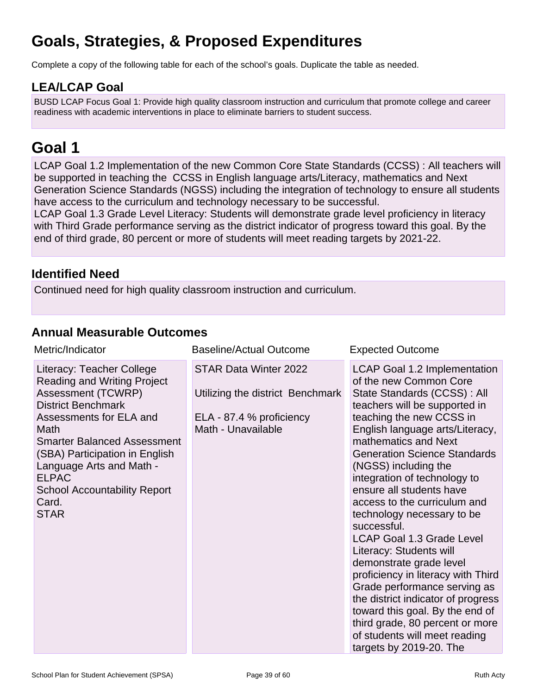## **Goals, Strategies, & Proposed Expenditures**

Complete a copy of the following table for each of the school's goals. Duplicate the table as needed.

## **LEA/LCAP Goal**

BUSD LCAP Focus Goal 1: Provide high quality classroom instruction and curriculum that promote college and career readiness with academic interventions in place to eliminate barriers to student success.

## **Goal 1**

LCAP Goal 1.2 Implementation of the new Common Core State Standards (CCSS) : All teachers will be supported in teaching the CCSS in English language arts/Literacy, mathematics and Next Generation Science Standards (NGSS) including the integration of technology to ensure all students have access to the curriculum and technology necessary to be successful. LCAP Goal 1.3 Grade Level Literacy: Students will demonstrate grade level proficiency in literacy with Third Grade performance serving as the district indicator of progress toward this goal. By the

end of third grade, 80 percent or more of students will meet reading targets by 2021-22.

## **Identified Need**

Continued need for high quality classroom instruction and curriculum.

## **Annual Measurable Outcomes**

| Metric/Indicator                                                                                                                                                                                                                                                                                                                                | Baseline/Actual Outcome                                                                                            | <b>Expected Outcome</b>                                                                                                                                                                                                                                                                                                                                                                                                                                                                                                                                                                                                                                                                                                                                               |
|-------------------------------------------------------------------------------------------------------------------------------------------------------------------------------------------------------------------------------------------------------------------------------------------------------------------------------------------------|--------------------------------------------------------------------------------------------------------------------|-----------------------------------------------------------------------------------------------------------------------------------------------------------------------------------------------------------------------------------------------------------------------------------------------------------------------------------------------------------------------------------------------------------------------------------------------------------------------------------------------------------------------------------------------------------------------------------------------------------------------------------------------------------------------------------------------------------------------------------------------------------------------|
| Literacy: Teacher College<br><b>Reading and Writing Project</b><br><b>Assessment (TCWRP)</b><br><b>District Benchmark</b><br>Assessments for ELA and<br>Math<br><b>Smarter Balanced Assessment</b><br>(SBA) Participation in English<br>Language Arts and Math -<br><b>ELPAC</b><br><b>School Accountability Report</b><br>Card.<br><b>STAR</b> | <b>STAR Data Winter 2022</b><br>Utilizing the district Benchmark<br>ELA - 87.4 % proficiency<br>Math - Unavailable | <b>LCAP Goal 1.2 Implementation</b><br>of the new Common Core<br>State Standards (CCSS) : All<br>teachers will be supported in<br>teaching the new CCSS in<br>English language arts/Literacy,<br>mathematics and Next<br><b>Generation Science Standards</b><br>(NGSS) including the<br>integration of technology to<br>ensure all students have<br>access to the curriculum and<br>technology necessary to be<br>successful.<br><b>LCAP Goal 1.3 Grade Level</b><br>Literacy: Students will<br>demonstrate grade level<br>proficiency in literacy with Third<br>Grade performance serving as<br>the district indicator of progress<br>toward this goal. By the end of<br>third grade, 80 percent or more<br>of students will meet reading<br>targets by 2019-20. The |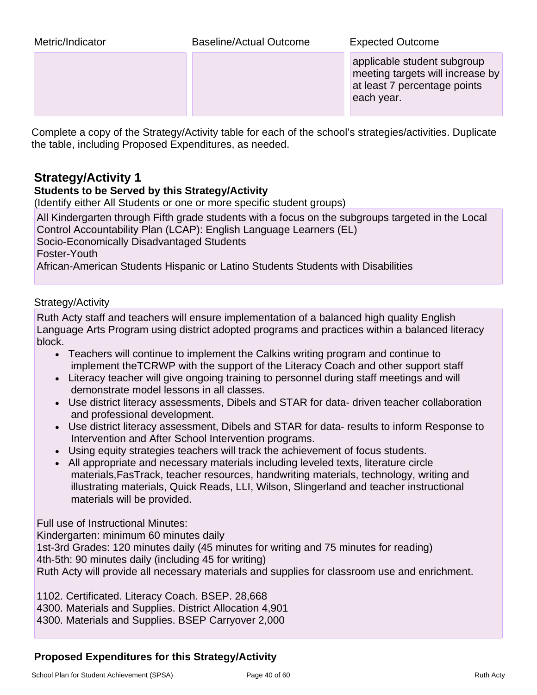| Metric/Indicator | Baseline/Actual Outcome | <b>Expected Outcome</b> |
|------------------|-------------------------|-------------------------|
|------------------|-------------------------|-------------------------|

applicable student subgroup meeting targets will increase by at least 7 percentage points each year.

Complete a copy of the Strategy/Activity table for each of the school's strategies/activities. Duplicate the table, including Proposed Expenditures, as needed.

## **Strategy/Activity 1**

### **Students to be Served by this Strategy/Activity**

(Identify either All Students or one or more specific student groups)

All Kindergarten through Fifth grade students with a focus on the subgroups targeted in the Local Control Accountability Plan (LCAP): English Language Learners (EL) Socio-Economically Disadvantaged Students Foster-Youth African-American Students Hispanic or Latino Students Students with Disabilities

### Strategy/Activity

Ruth Acty staff and teachers will ensure implementation of a balanced high quality English Language Arts Program using district adopted programs and practices within a balanced literacy block.

- Teachers will continue to implement the Calkins writing program and continue to implement theTCRWP with the support of the Literacy Coach and other support staff
- Literacy teacher will give ongoing training to personnel during staff meetings and will demonstrate model lessons in all classes.
- Use district literacy assessments, Dibels and STAR for data- driven teacher collaboration and professional development.
- Use district literacy assessment, Dibels and STAR for data- results to inform Response to Intervention and After School Intervention programs.
- Using equity strategies teachers will track the achievement of focus students.
- All appropriate and necessary materials including leveled texts, literature circle materials,FasTrack, teacher resources, handwriting materials, technology, writing and illustrating materials, Quick Reads, LLI, Wilson, Slingerland and teacher instructional materials will be provided.

Full use of Instructional Minutes:

Kindergarten: minimum 60 minutes daily

1st-3rd Grades: 120 minutes daily (45 minutes for writing and 75 minutes for reading) 4th-5th: 90 minutes daily (including 45 for writing)

Ruth Acty will provide all necessary materials and supplies for classroom use and enrichment.

1102. Certificated. Literacy Coach. BSEP. 28,668 4300. Materials and Supplies. District Allocation 4,901 4300. Materials and Supplies. BSEP Carryover 2,000

## **Proposed Expenditures for this Strategy/Activity**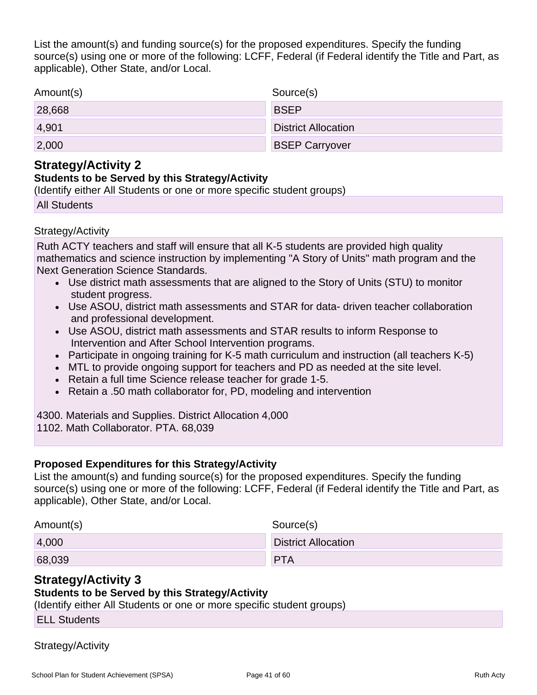List the amount(s) and funding source(s) for the proposed expenditures. Specify the funding source(s) using one or more of the following: LCFF, Federal (if Federal identify the Title and Part, as applicable), Other State, and/or Local.

| Amount(s) | Source(s)                  |
|-----------|----------------------------|
| 28,668    | <b>BSEP</b>                |
| 4,901     | <b>District Allocation</b> |
| 2,000     | <b>BSEP Carryover</b>      |

## **Strategy/Activity 2**

### **Students to be Served by this Strategy/Activity**

(Identify either All Students or one or more specific student groups)

All Students

### Strategy/Activity

Ruth ACTY teachers and staff will ensure that all K-5 students are provided high quality mathematics and science instruction by implementing "A Story of Units" math program and the Next Generation Science Standards.

- Use district math assessments that are aligned to the Story of Units (STU) to monitor student progress.
- Use ASOU, district math assessments and STAR for data- driven teacher collaboration and professional development.
- Use ASOU, district math assessments and STAR results to inform Response to Intervention and After School Intervention programs.
- Participate in ongoing training for K-5 math curriculum and instruction (all teachers K-5)
- MTL to provide ongoing support for teachers and PD as needed at the site level.
- Retain a full time Science release teacher for grade 1-5.
- Retain a .50 math collaborator for, PD, modeling and intervention

4300. Materials and Supplies. District Allocation 4,000 1102. Math Collaborator. PTA. 68,039

### **Proposed Expenditures for this Strategy/Activity**

List the amount(s) and funding source(s) for the proposed expenditures. Specify the funding source(s) using one or more of the following: LCFF, Federal (if Federal identify the Title and Part, as applicable), Other State, and/or Local.

| Amount(s) | Source(s)                  |
|-----------|----------------------------|
| 4,000     | <b>District Allocation</b> |
| 68,039    | <b>PTA</b>                 |

## **Strategy/Activity 3**

## **Students to be Served by this Strategy/Activity**

(Identify either All Students or one or more specific student groups)

ELL Students

## Strategy/Activity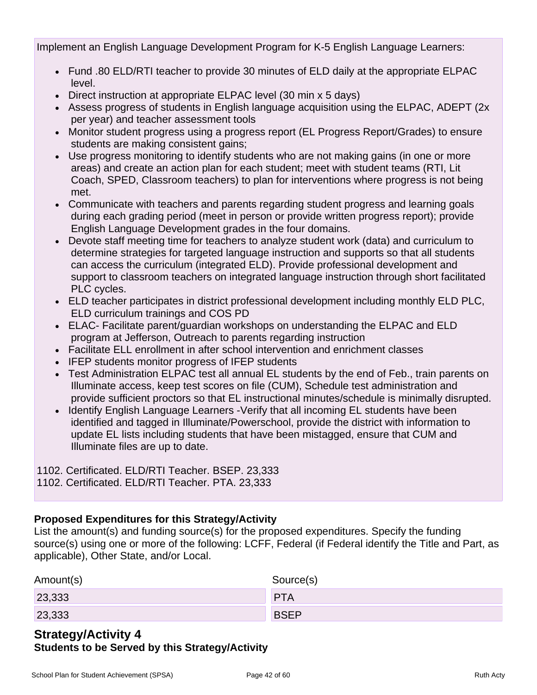Implement an English Language Development Program for K-5 English Language Learners:

- Fund .80 ELD/RTI teacher to provide 30 minutes of ELD daily at the appropriate ELPAC level.
- Direct instruction at appropriate ELPAC level (30 min x 5 days)
- Assess progress of students in English language acquisition using the ELPAC, ADEPT (2x per year) and teacher assessment tools
- Monitor student progress using a progress report (EL Progress Report/Grades) to ensure students are making consistent gains;
- Use progress monitoring to identify students who are not making gains (in one or more areas) and create an action plan for each student; meet with student teams (RTI, Lit Coach, SPED, Classroom teachers) to plan for interventions where progress is not being met.
- Communicate with teachers and parents regarding student progress and learning goals during each grading period (meet in person or provide written progress report); provide English Language Development grades in the four domains.
- Devote staff meeting time for teachers to analyze student work (data) and curriculum to determine strategies for targeted language instruction and supports so that all students can access the curriculum (integrated ELD). Provide professional development and support to classroom teachers on integrated language instruction through short facilitated PLC cycles.
- ELD teacher participates in district professional development including monthly ELD PLC, ELD curriculum trainings and COS PD
- ELAC- Facilitate parent/guardian workshops on understanding the ELPAC and ELD program at Jefferson, Outreach to parents regarding instruction
- Facilitate ELL enrollment in after school intervention and enrichment classes
- IFEP students monitor progress of IFEP students
- Test Administration ELPAC test all annual EL students by the end of Feb., train parents on Illuminate access, keep test scores on file (CUM), Schedule test administration and provide sufficient proctors so that EL instructional minutes/schedule is minimally disrupted.
- Identify English Language Learners -Verify that all incoming EL students have been identified and tagged in Illuminate/Powerschool, provide the district with information to update EL lists including students that have been mistagged, ensure that CUM and Illuminate files are up to date.

1102. Certificated. ELD/RTI Teacher. BSEP. 23,333

1102. Certificated. ELD/RTI Teacher. PTA. 23,333

## **Proposed Expenditures for this Strategy/Activity**

List the amount(s) and funding source(s) for the proposed expenditures. Specify the funding source(s) using one or more of the following: LCFF, Federal (if Federal identify the Title and Part, as applicable), Other State, and/or Local.

| Amount(s) | Source(s)   |
|-----------|-------------|
| 23,333    | <b>PTA</b>  |
| 23,333    | <b>BSEP</b> |

## **Strategy/Activity 4 Students to be Served by this Strategy/Activity**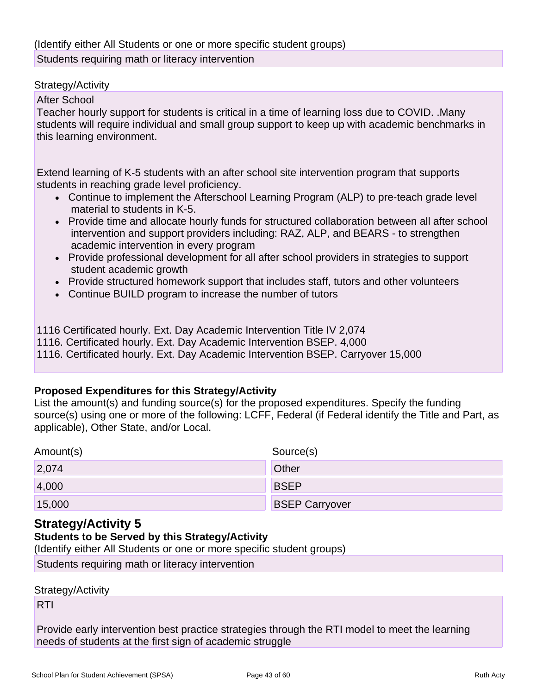#### Strategy/Activity

After School

Teacher hourly support for students is critical in a time of learning loss due to COVID. .Many students will require individual and small group support to keep up with academic benchmarks in this learning environment.

Extend learning of K-5 students with an after school site intervention program that supports students in reaching grade level proficiency.

- Continue to implement the Afterschool Learning Program (ALP) to pre-teach grade level material to students in K-5.
- Provide time and allocate hourly funds for structured collaboration between all after school intervention and support providers including: RAZ, ALP, and BEARS - to strengthen academic intervention in every program
- Provide professional development for all after school providers in strategies to support student academic growth
- Provide structured homework support that includes staff, tutors and other volunteers
- Continue BUILD program to increase the number of tutors

1116 Certificated hourly. Ext. Day Academic Intervention Title IV 2,074

1116. Certificated hourly. Ext. Day Academic Intervention BSEP. 4,000

1116. Certificated hourly. Ext. Day Academic Intervention BSEP. Carryover 15,000

### **Proposed Expenditures for this Strategy/Activity**

List the amount(s) and funding source(s) for the proposed expenditures. Specify the funding source(s) using one or more of the following: LCFF, Federal (if Federal identify the Title and Part, as applicable), Other State, and/or Local.

| Amount(s) | Source(s)             |
|-----------|-----------------------|
| 2,074     | Other                 |
| 4,000     | <b>BSEP</b>           |
| 15,000    | <b>BSEP Carryover</b> |

## **Strategy/Activity 5**

## **Students to be Served by this Strategy/Activity**

(Identify either All Students or one or more specific student groups)

Students requiring math or literacy intervention

Strategy/Activity

RTI

Provide early intervention best practice strategies through the RTI model to meet the learning needs of students at the first sign of academic struggle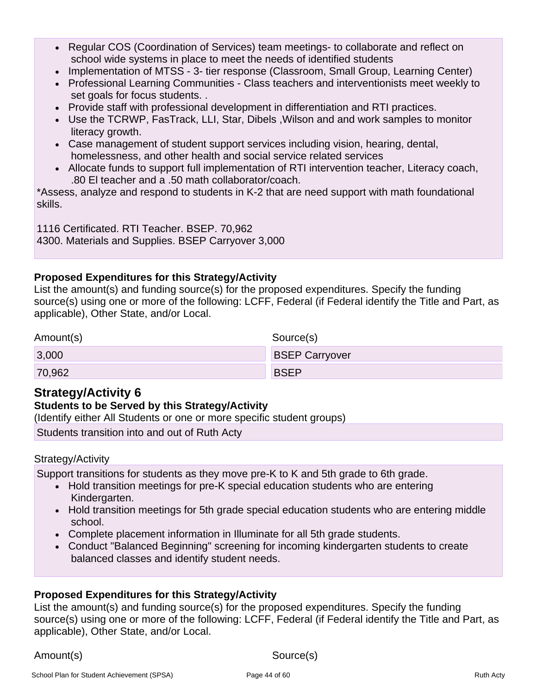- Regular COS (Coordination of Services) team meetings- to collaborate and reflect on school wide systems in place to meet the needs of identified students
- Implementation of MTSS 3- tier response (Classroom, Small Group, Learning Center)
- Professional Learning Communities Class teachers and interventionists meet weekly to set goals for focus students. .
- Provide staff with professional development in differentiation and RTI practices.
- Use the TCRWP, FasTrack, LLI, Star, Dibels ,Wilson and and work samples to monitor literacy growth.
- Case management of student support services including vision, hearing, dental, homelessness, and other health and social service related services
- Allocate funds to support full implementation of RTI intervention teacher, Literacy coach, .80 El teacher and a .50 math collaborator/coach.

\*Assess, analyze and respond to students in K-2 that are need support with math foundational skills.

1116 Certificated. RTI Teacher. BSEP. 70,962 4300. Materials and Supplies. BSEP Carryover 3,000

### **Proposed Expenditures for this Strategy/Activity**

List the amount(s) and funding source(s) for the proposed expenditures. Specify the funding source(s) using one or more of the following: LCFF, Federal (if Federal identify the Title and Part, as applicable), Other State, and/or Local.

| Amount(s) | Source(s)             |
|-----------|-----------------------|
| 3,000     | <b>BSEP Carryover</b> |
| 70,962    | <b>BSEP</b>           |

## **Strategy/Activity 6**

### **Students to be Served by this Strategy/Activity**

(Identify either All Students or one or more specific student groups)

Students transition into and out of Ruth Acty

### Strategy/Activity

Support transitions for students as they move pre-K to K and 5th grade to 6th grade.

- Hold transition meetings for pre-K special education students who are entering Kindergarten.
- Hold transition meetings for 5th grade special education students who are entering middle school.
- Complete placement information in Illuminate for all 5th grade students.
- Conduct "Balanced Beginning" screening for incoming kindergarten students to create balanced classes and identify student needs.

### **Proposed Expenditures for this Strategy/Activity**

List the amount(s) and funding source(s) for the proposed expenditures. Specify the funding source(s) using one or more of the following: LCFF, Federal (if Federal identify the Title and Part, as applicable), Other State, and/or Local.

Amount(s) Source(s)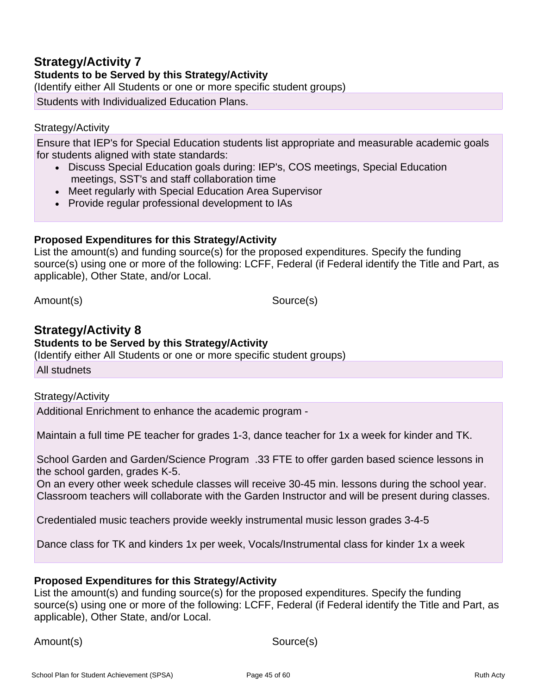## **Strategy/Activity 7**

**Students to be Served by this Strategy/Activity**

(Identify either All Students or one or more specific student groups)

Students with Individualized Education Plans.

#### Strategy/Activity

Ensure that IEP's for Special Education students list appropriate and measurable academic goals for students aligned with state standards:

- Discuss Special Education goals during: IEP's, COS meetings, Special Education meetings, SST's and staff collaboration time
- Meet regularly with Special Education Area Supervisor
- Provide regular professional development to IAs

#### **Proposed Expenditures for this Strategy/Activity**

List the amount(s) and funding source(s) for the proposed expenditures. Specify the funding source(s) using one or more of the following: LCFF, Federal (if Federal identify the Title and Part, as applicable), Other State, and/or Local.

Amount(s) Source(s)

## **Strategy/Activity 8**

**Students to be Served by this Strategy/Activity**

(Identify either All Students or one or more specific student groups)

All studnets

#### Strategy/Activity

Additional Enrichment to enhance the academic program -

Maintain a full time PE teacher for grades 1-3, dance teacher for 1x a week for kinder and TK.

School Garden and Garden/Science Program .33 FTE to offer garden based science lessons in the school garden, grades K-5.

On an every other week schedule classes will receive 30-45 min. lessons during the school year. Classroom teachers will collaborate with the Garden Instructor and will be present during classes.

Credentialed music teachers provide weekly instrumental music lesson grades 3-4-5

Dance class for TK and kinders 1x per week, Vocals/Instrumental class for kinder 1x a week

#### **Proposed Expenditures for this Strategy/Activity**

List the amount(s) and funding source(s) for the proposed expenditures. Specify the funding source(s) using one or more of the following: LCFF, Federal (if Federal identify the Title and Part, as applicable), Other State, and/or Local.

Amount(s) Source(s)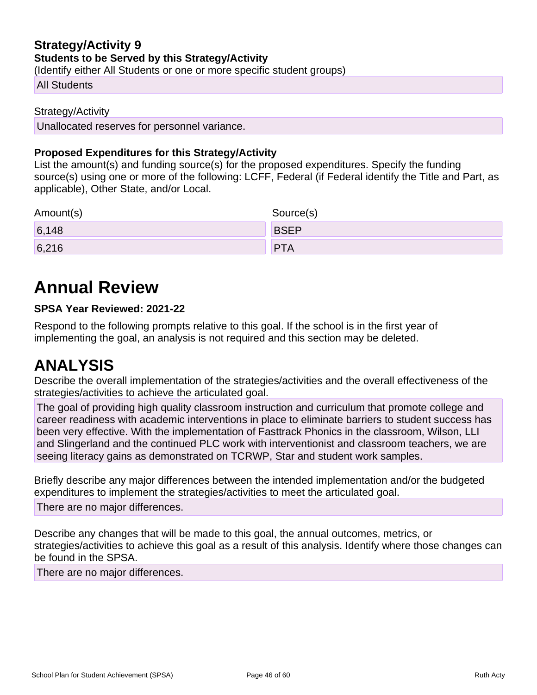### **Strategy/Activity 9 Students to be Served by this Strategy/Activity**

(Identify either All Students or one or more specific student groups)

#### All Students

#### Strategy/Activity

Unallocated reserves for personnel variance.

### **Proposed Expenditures for this Strategy/Activity**

List the amount(s) and funding source(s) for the proposed expenditures. Specify the funding source(s) using one or more of the following: LCFF, Federal (if Federal identify the Title and Part, as applicable), Other State, and/or Local.

| Amount(s) | Source(s)   |
|-----------|-------------|
| 6,148     | <b>BSEP</b> |
| 6,216     | <b>PTA</b>  |

## **Annual Review**

### **SPSA Year Reviewed: 2021-22**

Respond to the following prompts relative to this goal. If the school is in the first year of implementing the goal, an analysis is not required and this section may be deleted.

## **ANALYSIS**

Describe the overall implementation of the strategies/activities and the overall effectiveness of the strategies/activities to achieve the articulated goal.

The goal of providing high quality classroom instruction and curriculum that promote college and career readiness with academic interventions in place to eliminate barriers to student success has been very effective. With the implementation of Fasttrack Phonics in the classroom, Wilson, LLI and Slingerland and the continued PLC work with interventionist and classroom teachers, we are seeing literacy gains as demonstrated on TCRWP, Star and student work samples.

Briefly describe any major differences between the intended implementation and/or the budgeted expenditures to implement the strategies/activities to meet the articulated goal.

There are no major differences.

Describe any changes that will be made to this goal, the annual outcomes, metrics, or strategies/activities to achieve this goal as a result of this analysis. Identify where those changes can be found in the SPSA.

There are no major differences.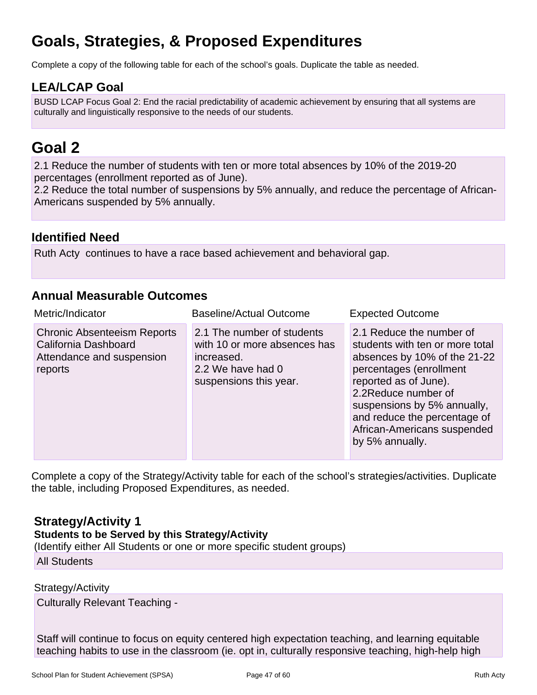## **Goals, Strategies, & Proposed Expenditures**

Complete a copy of the following table for each of the school's goals. Duplicate the table as needed.

## **LEA/LCAP Goal**

BUSD LCAP Focus Goal 2: End the racial predictability of academic achievement by ensuring that all systems are culturally and linguistically responsive to the needs of our students.

## **Goal 2**

2.1 Reduce the number of students with ten or more total absences by 10% of the 2019-20 percentages (enrollment reported as of June).

2.2 Reduce the total number of suspensions by 5% annually, and reduce the percentage of African-Americans suspended by 5% annually.

## **Identified Need**

Ruth Acty continues to have a race based achievement and behavioral gap.

## **Annual Measurable Outcomes**

| Metric/Indicator                                                                                   | <b>Baseline/Actual Outcome</b>                                                                                          | <b>Expected Outcome</b>                                                                                                                                                                                                                                                                 |
|----------------------------------------------------------------------------------------------------|-------------------------------------------------------------------------------------------------------------------------|-----------------------------------------------------------------------------------------------------------------------------------------------------------------------------------------------------------------------------------------------------------------------------------------|
| <b>Chronic Absenteeism Reports</b><br>California Dashboard<br>Attendance and suspension<br>reports | 2.1 The number of students<br>with 10 or more absences has<br>increased.<br>2.2 We have had 0<br>suspensions this year. | 2.1 Reduce the number of<br>students with ten or more total<br>absences by 10% of the 21-22<br>percentages (enrollment<br>reported as of June).<br>2.2Reduce number of<br>suspensions by 5% annually,<br>and reduce the percentage of<br>African-Americans suspended<br>by 5% annually. |

Complete a copy of the Strategy/Activity table for each of the school's strategies/activities. Duplicate the table, including Proposed Expenditures, as needed.

## **Strategy/Activity 1**

**Students to be Served by this Strategy/Activity**

(Identify either All Students or one or more specific student groups)

#### All Students

#### Strategy/Activity

Culturally Relevant Teaching -

Staff will continue to focus on equity centered high expectation teaching, and learning equitable teaching habits to use in the classroom (ie. opt in, culturally responsive teaching, high-help high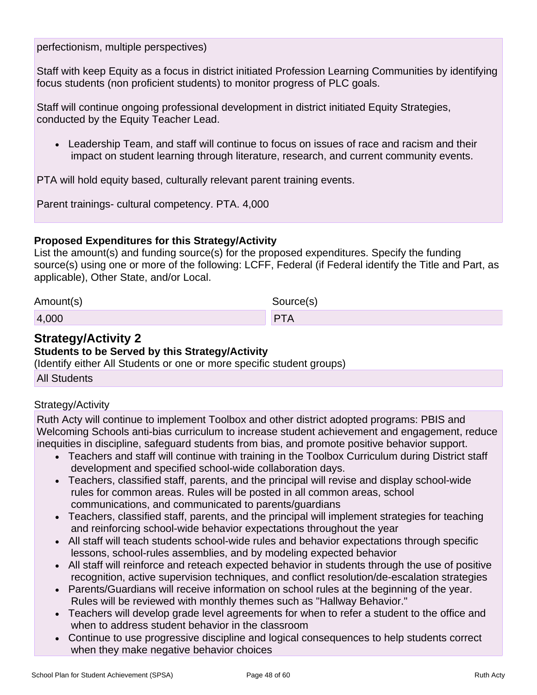perfectionism, multiple perspectives)

Staff with keep Equity as a focus in district initiated Profession Learning Communities by identifying focus students (non proficient students) to monitor progress of PLC goals.

Staff will continue ongoing professional development in district initiated Equity Strategies, conducted by the Equity Teacher Lead.

• Leadership Team, and staff will continue to focus on issues of race and racism and their impact on student learning through literature, research, and current community events.

PTA will hold equity based, culturally relevant parent training events.

Parent trainings- cultural competency. PTA. 4,000

### **Proposed Expenditures for this Strategy/Activity**

List the amount(s) and funding source(s) for the proposed expenditures. Specify the funding source(s) using one or more of the following: LCFF, Federal (if Federal identify the Title and Part, as applicable), Other State, and/or Local.

| Amount(s) | Source(s) |
|-----------|-----------|
| 4,000     | PTA       |

## **Strategy/Activity 2**

### **Students to be Served by this Strategy/Activity**

(Identify either All Students or one or more specific student groups)

All Students

### Strategy/Activity

Ruth Acty will continue to implement Toolbox and other district adopted programs: PBIS and Welcoming Schools anti-bias curriculum to increase student achievement and engagement, reduce inequities in discipline, safeguard students from bias, and promote positive behavior support.

- Teachers and staff will continue with training in the Toolbox Curriculum during District staff development and specified school-wide collaboration days.
- Teachers, classified staff, parents, and the principal will revise and display school-wide rules for common areas. Rules will be posted in all common areas, school communications, and communicated to parents/guardians
- Teachers, classified staff, parents, and the principal will implement strategies for teaching and reinforcing school-wide behavior expectations throughout the year
- All staff will teach students school-wide rules and behavior expectations through specific lessons, school-rules assemblies, and by modeling expected behavior
- All staff will reinforce and reteach expected behavior in students through the use of positive recognition, active supervision techniques, and conflict resolution/de-escalation strategies
- Parents/Guardians will receive information on school rules at the beginning of the year. Rules will be reviewed with monthly themes such as "Hallway Behavior."
- Teachers will develop grade level agreements for when to refer a student to the office and when to address student behavior in the classroom
- Continue to use progressive discipline and logical consequences to help students correct when they make negative behavior choices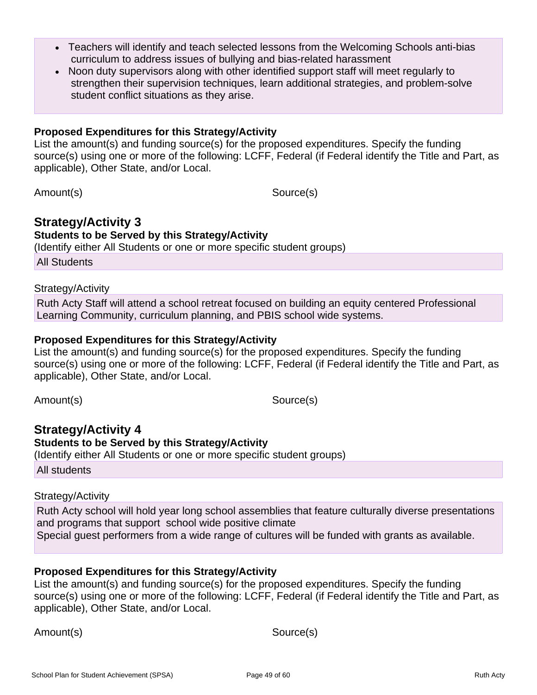- Teachers will identify and teach selected lessons from the Welcoming Schools anti-bias curriculum to address issues of bullying and bias-related harassment
- Noon duty supervisors along with other identified support staff will meet regularly to strengthen their supervision techniques, learn additional strategies, and problem-solve student conflict situations as they arise.

#### **Proposed Expenditures for this Strategy/Activity**

List the amount(s) and funding source(s) for the proposed expenditures. Specify the funding source(s) using one or more of the following: LCFF, Federal (if Federal identify the Title and Part, as applicable), Other State, and/or Local.

Amount(s) Source(s)

#### **Strategy/Activity 3 Students to be Served by this Strategy/Activity**

(Identify either All Students or one or more specific student groups)

All Students

#### Strategy/Activity

Ruth Acty Staff will attend a school retreat focused on building an equity centered Professional Learning Community, curriculum planning, and PBIS school wide systems.

### **Proposed Expenditures for this Strategy/Activity**

List the amount(s) and funding source(s) for the proposed expenditures. Specify the funding source(s) using one or more of the following: LCFF, Federal (if Federal identify the Title and Part, as applicable), Other State, and/or Local.

Amount(s) Source(s)

**Strategy/Activity 4 Students to be Served by this Strategy/Activity** (Identify either All Students or one or more specific student groups) All students

## Strategy/Activity

Ruth Acty school will hold year long school assemblies that feature culturally diverse presentations and programs that support school wide positive climate Special guest performers from a wide range of cultures will be funded with grants as available.

### **Proposed Expenditures for this Strategy/Activity**

List the amount(s) and funding source(s) for the proposed expenditures. Specify the funding source(s) using one or more of the following: LCFF, Federal (if Federal identify the Title and Part, as applicable), Other State, and/or Local.

Amount(s) Source(s)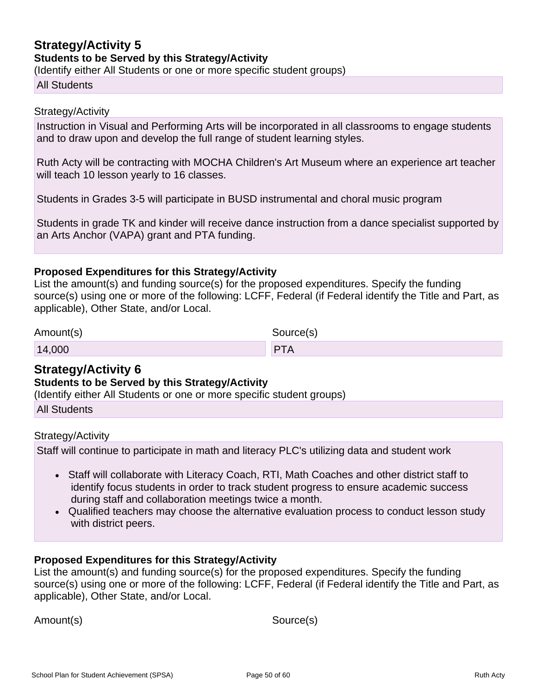## **Strategy/Activity 5 Students to be Served by this Strategy/Activity**

(Identify either All Students or one or more specific student groups)

#### All Students

#### Strategy/Activity

Instruction in Visual and Performing Arts will be incorporated in all classrooms to engage students and to draw upon and develop the full range of student learning styles.

Ruth Acty will be contracting with MOCHA Children's Art Museum where an experience art teacher will teach 10 lesson yearly to 16 classes.

Students in Grades 3-5 will participate in BUSD instrumental and choral music program

Students in grade TK and kinder will receive dance instruction from a dance specialist supported by an Arts Anchor (VAPA) grant and PTA funding.

#### **Proposed Expenditures for this Strategy/Activity**

List the amount(s) and funding source(s) for the proposed expenditures. Specify the funding source(s) using one or more of the following: LCFF, Federal (if Federal identify the Title and Part, as applicable), Other State, and/or Local.

| Amount(s) | Source(s)  |
|-----------|------------|
| 14,000    | <b>PTA</b> |

## **Strategy/Activity 6**

#### **Students to be Served by this Strategy/Activity**

(Identify either All Students or one or more specific student groups)

|  |  | <b>All Students</b> |
|--|--|---------------------|
|--|--|---------------------|

#### Strategy/Activity

Staff will continue to participate in math and literacy PLC's utilizing data and student work

- Staff will collaborate with Literacy Coach, RTI, Math Coaches and other district staff to identify focus students in order to track student progress to ensure academic success during staff and collaboration meetings twice a month.
- Qualified teachers may choose the alternative evaluation process to conduct lesson study with district peers.

### **Proposed Expenditures for this Strategy/Activity**

List the amount(s) and funding source(s) for the proposed expenditures. Specify the funding source(s) using one or more of the following: LCFF, Federal (if Federal identify the Title and Part, as applicable), Other State, and/or Local.

Amount(s) Source(s)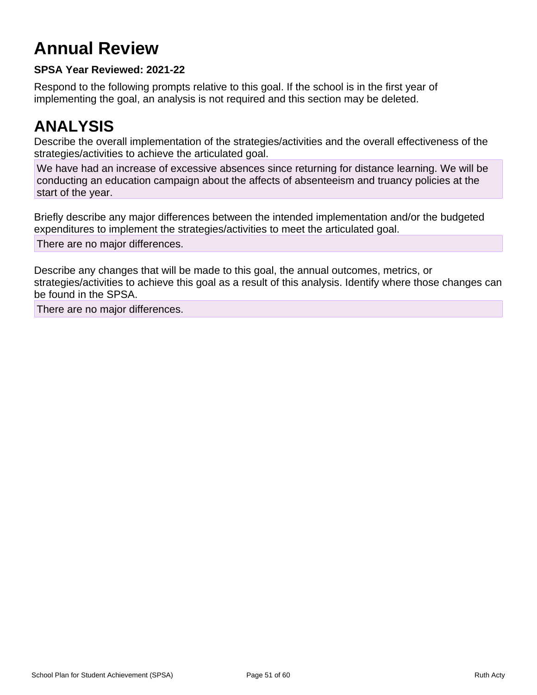## **Annual Review**

## **SPSA Year Reviewed: 2021-22**

Respond to the following prompts relative to this goal. If the school is in the first year of implementing the goal, an analysis is not required and this section may be deleted.

## **ANALYSIS**

Describe the overall implementation of the strategies/activities and the overall effectiveness of the strategies/activities to achieve the articulated goal.

We have had an increase of excessive absences since returning for distance learning. We will be conducting an education campaign about the affects of absenteeism and truancy policies at the start of the year.

Briefly describe any major differences between the intended implementation and/or the budgeted expenditures to implement the strategies/activities to meet the articulated goal.

There are no major differences.

Describe any changes that will be made to this goal, the annual outcomes, metrics, or strategies/activities to achieve this goal as a result of this analysis. Identify where those changes can be found in the SPSA.

There are no major differences.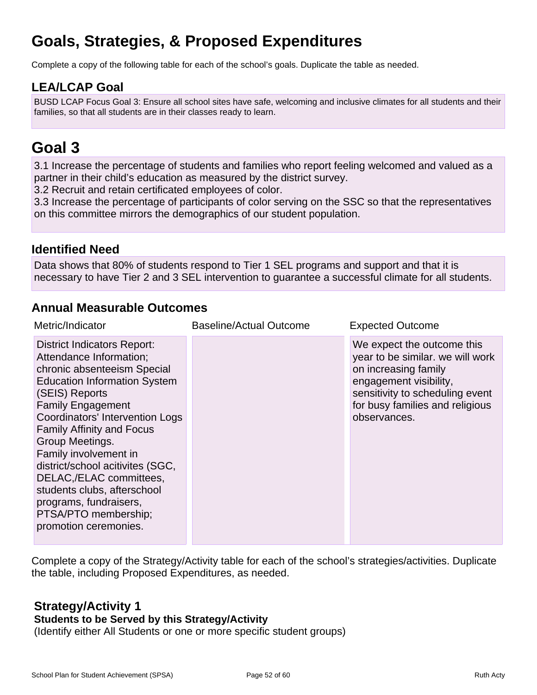## **Goals, Strategies, & Proposed Expenditures**

Complete a copy of the following table for each of the school's goals. Duplicate the table as needed.

## **LEA/LCAP Goal**

BUSD LCAP Focus Goal 3: Ensure all school sites have safe, welcoming and inclusive climates for all students and their families, so that all students are in their classes ready to learn.

## **Goal 3**

3.1 Increase the percentage of students and families who report feeling welcomed and valued as a partner in their child's education as measured by the district survey.

3.2 Recruit and retain certificated employees of color.

3.3 Increase the percentage of participants of color serving on the SSC so that the representatives on this committee mirrors the demographics of our student population.

## **Identified Need**

Data shows that 80% of students respond to Tier 1 SEL programs and support and that it is necessary to have Tier 2 and 3 SEL intervention to guarantee a successful climate for all students.

## **Annual Measurable Outcomes**

| Metric/Indicator                                                                                                                                                                                                                                                                                                                                                                                                                                                              | <b>Baseline/Actual Outcome</b> | <b>Expected Outcome</b>                                                                                                                                                                                |
|-------------------------------------------------------------------------------------------------------------------------------------------------------------------------------------------------------------------------------------------------------------------------------------------------------------------------------------------------------------------------------------------------------------------------------------------------------------------------------|--------------------------------|--------------------------------------------------------------------------------------------------------------------------------------------------------------------------------------------------------|
| <b>District Indicators Report:</b><br>Attendance Information;<br>chronic absenteeism Special<br><b>Education Information System</b><br>(SEIS) Reports<br><b>Family Engagement</b><br>Coordinators' Intervention Logs<br><b>Family Affinity and Focus</b><br>Group Meetings.<br>Family involvement in<br>district/school acitivites (SGC,<br>DELAC,/ELAC committees,<br>students clubs, afterschool<br>programs, fundraisers,<br>PTSA/PTO membership;<br>promotion ceremonies. |                                | We expect the outcome this<br>year to be similar. we will work<br>on increasing family<br>engagement visibility,<br>sensitivity to scheduling event<br>for busy families and religious<br>observances. |

Complete a copy of the Strategy/Activity table for each of the school's strategies/activities. Duplicate the table, including Proposed Expenditures, as needed.

#### **Strategy/Activity 1 Students to be Served by this Strategy/Activity**

(Identify either All Students or one or more specific student groups)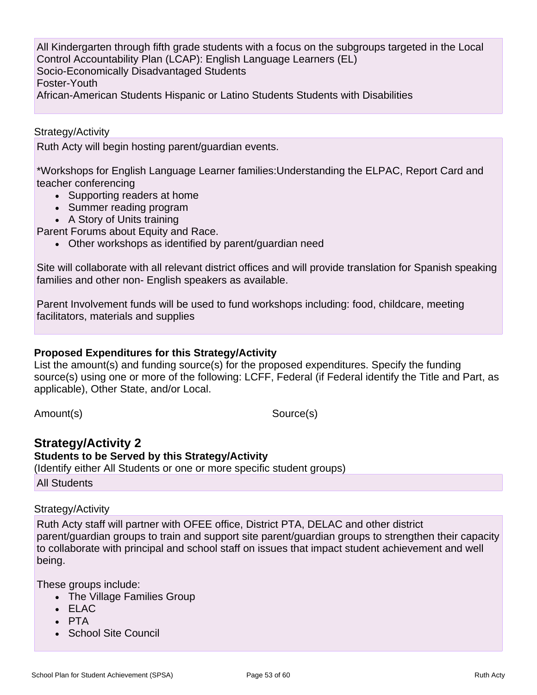All Kindergarten through fifth grade students with a focus on the subgroups targeted in the Local Control Accountability Plan (LCAP): English Language Learners (EL) Socio-Economically Disadvantaged Students Foster-Youth African-American Students Hispanic or Latino Students Students with Disabilities

#### Strategy/Activity

Ruth Acty will begin hosting parent/guardian events.

\*Workshops for English Language Learner families:Understanding the ELPAC, Report Card and teacher conferencing

- Supporting readers at home
- Summer reading program
- A Story of Units training

Parent Forums about Equity and Race.

• Other workshops as identified by parent/guardian need

Site will collaborate with all relevant district offices and will provide translation for Spanish speaking families and other non- English speakers as available.

Parent Involvement funds will be used to fund workshops including: food, childcare, meeting facilitators, materials and supplies

#### **Proposed Expenditures for this Strategy/Activity**

List the amount(s) and funding source(s) for the proposed expenditures. Specify the funding source(s) using one or more of the following: LCFF, Federal (if Federal identify the Title and Part, as applicable), Other State, and/or Local.

Amount(s) Source(s)

## **Strategy/Activity 2**

**Students to be Served by this Strategy/Activity** (Identify either All Students or one or more specific student groups) All Students

#### Strategy/Activity

Ruth Acty staff will partner with OFEE office, District PTA, DELAC and other district parent/guardian groups to train and support site parent/guardian groups to strengthen their capacity to collaborate with principal and school staff on issues that impact student achievement and well being.

These groups include:

- The Village Families Group
- ELAC
- PTA
- School Site Council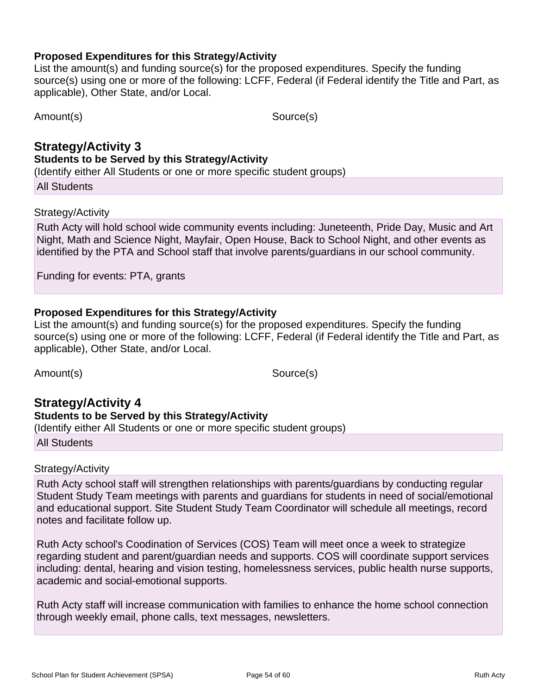### **Proposed Expenditures for this Strategy/Activity**

List the amount(s) and funding source(s) for the proposed expenditures. Specify the funding source(s) using one or more of the following: LCFF, Federal (if Federal identify the Title and Part, as applicable), Other State, and/or Local.

Amount(s) Source(s)

### **Strategy/Activity 3 Students to be Served by this Strategy/Activity**

(Identify either All Students or one or more specific student groups)

All Students

### Strategy/Activity

Ruth Acty will hold school wide community events including: Juneteenth, Pride Day, Music and Art Night, Math and Science Night, Mayfair, Open House, Back to School Night, and other events as identified by the PTA and School staff that involve parents/guardians in our school community.

Funding for events: PTA, grants

### **Proposed Expenditures for this Strategy/Activity**

List the amount(s) and funding source(s) for the proposed expenditures. Specify the funding source(s) using one or more of the following: LCFF, Federal (if Federal identify the Title and Part, as applicable), Other State, and/or Local.

Amount(s) Source(s)

### **Strategy/Activity 4 Students to be Served by this Strategy/Activity** (Identify either All Students or one or more specific student groups)

All Students

### Strategy/Activity

Ruth Acty school staff will strengthen relationships with parents/guardians by conducting regular Student Study Team meetings with parents and guardians for students in need of social/emotional and educational support. Site Student Study Team Coordinator will schedule all meetings, record notes and facilitate follow up.

Ruth Acty school's Coodination of Services (COS) Team will meet once a week to strategize regarding student and parent/guardian needs and supports. COS will coordinate support services including: dental, hearing and vision testing, homelessness services, public health nurse supports, academic and social-emotional supports.

Ruth Acty staff will increase communication with families to enhance the home school connection through weekly email, phone calls, text messages, newsletters.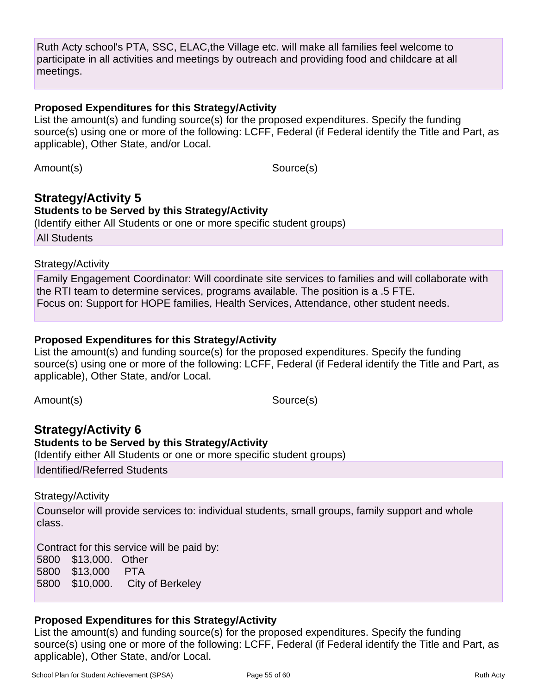Ruth Acty school's PTA, SSC, ELAC,the Village etc. will make all families feel welcome to participate in all activities and meetings by outreach and providing food and childcare at all meetings.

### **Proposed Expenditures for this Strategy/Activity**

List the amount(s) and funding source(s) for the proposed expenditures. Specify the funding source(s) using one or more of the following: LCFF, Federal (if Federal identify the Title and Part, as applicable), Other State, and/or Local.

Amount(s) Source(s)

## **Strategy/Activity 5 Students to be Served by this Strategy/Activity**

(Identify either All Students or one or more specific student groups)

All Students

### Strategy/Activity

Family Engagement Coordinator: Will coordinate site services to families and will collaborate with the RTI team to determine services, programs available. The position is a .5 FTE. Focus on: Support for HOPE families, Health Services, Attendance, other student needs.

## **Proposed Expenditures for this Strategy/Activity**

List the amount(s) and funding source(s) for the proposed expenditures. Specify the funding source(s) using one or more of the following: LCFF, Federal (if Federal identify the Title and Part, as applicable), Other State, and/or Local.

Amount(s) Source(s)

**Strategy/Activity 6 Students to be Served by this Strategy/Activity** (Identify either All Students or one or more specific student groups) Identified/Referred Students

### Strategy/Activity

Counselor will provide services to: individual students, small groups, family support and whole class.

Contract for this service will be paid by:

5800 \$13,000. Other 5800 \$13,000 PTA 5800 \$10,000. City of Berkeley

## **Proposed Expenditures for this Strategy/Activity**

List the amount(s) and funding source(s) for the proposed expenditures. Specify the funding source(s) using one or more of the following: LCFF, Federal (if Federal identify the Title and Part, as applicable), Other State, and/or Local.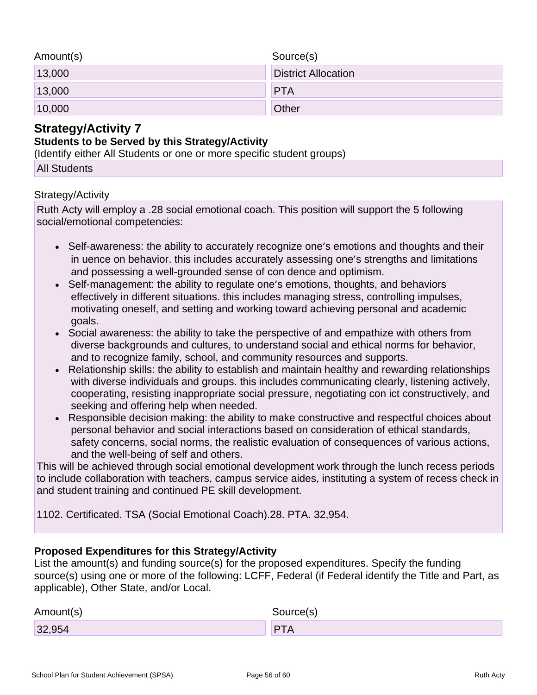| Amount(s) | Source(s)                  |
|-----------|----------------------------|
| 13,000    | <b>District Allocation</b> |
| 13,000    | <b>PTA</b>                 |
| 10,000    | Other                      |

## **Strategy/Activity 7**

### **Students to be Served by this Strategy/Activity**

(Identify either All Students or one or more specific student groups)

All Students

### Strategy/Activity

Ruth Acty will employ a .28 social emotional coach. This position will support the 5 following social/emotional competencies:

- Self-awareness: the ability to accurately recognize one's emotions and thoughts and their in uence on behavior. this includes accurately assessing one's strengths and limitations and possessing a well-grounded sense of con dence and optimism.
- Self-management: the ability to regulate one's emotions, thoughts, and behaviors effectively in different situations. this includes managing stress, controlling impulses, motivating oneself, and setting and working toward achieving personal and academic goals.
- Social awareness: the ability to take the perspective of and empathize with others from diverse backgrounds and cultures, to understand social and ethical norms for behavior, and to recognize family, school, and community resources and supports.
- Relationship skills: the ability to establish and maintain healthy and rewarding relationships with diverse individuals and groups. this includes communicating clearly, listening actively, cooperating, resisting inappropriate social pressure, negotiating con ict constructively, and seeking and offering help when needed.
- Responsible decision making: the ability to make constructive and respectful choices about personal behavior and social interactions based on consideration of ethical standards, safety concerns, social norms, the realistic evaluation of consequences of various actions, and the well-being of self and others.

This will be achieved through social emotional development work through the lunch recess periods to include collaboration with teachers, campus service aides, instituting a system of recess check in and student training and continued PE skill development.

1102. Certificated. TSA (Social Emotional Coach).28. PTA. 32,954.

## **Proposed Expenditures for this Strategy/Activity**

List the amount(s) and funding source(s) for the proposed expenditures. Specify the funding source(s) using one or more of the following: LCFF, Federal (if Federal identify the Title and Part, as applicable), Other State, and/or Local.

| Amount(s) | Source(s) |
|-----------|-----------|
| 32,954    | DT.       |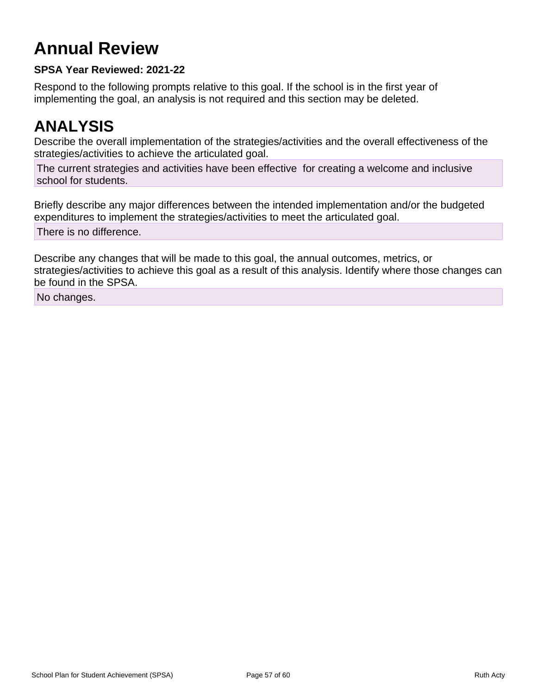## **Annual Review**

## **SPSA Year Reviewed: 2021-22**

Respond to the following prompts relative to this goal. If the school is in the first year of implementing the goal, an analysis is not required and this section may be deleted.

## **ANALYSIS**

Describe the overall implementation of the strategies/activities and the overall effectiveness of the strategies/activities to achieve the articulated goal.

The current strategies and activities have been effective for creating a welcome and inclusive school for students.

Briefly describe any major differences between the intended implementation and/or the budgeted expenditures to implement the strategies/activities to meet the articulated goal.

There is no difference.

Describe any changes that will be made to this goal, the annual outcomes, metrics, or strategies/activities to achieve this goal as a result of this analysis. Identify where those changes can be found in the SPSA.

No changes.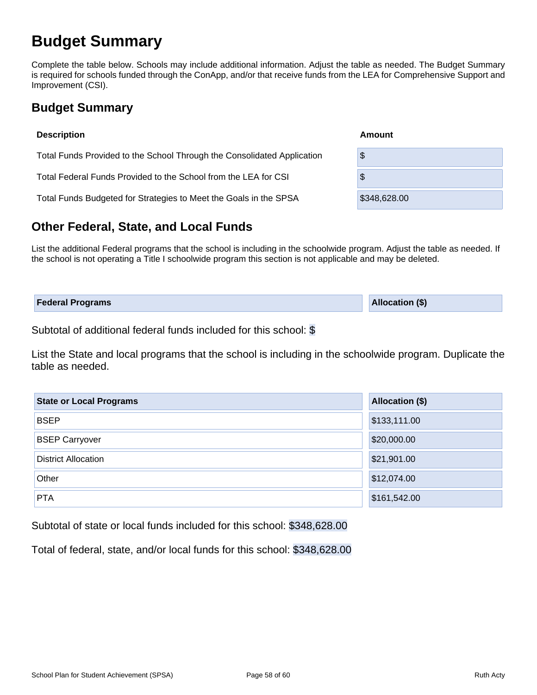## **Budget Summary**

Complete the table below. Schools may include additional information. Adjust the table as needed. The Budget Summary is required for schools funded through the ConApp, and/or that receive funds from the LEA for Comprehensive Support and Improvement (CSI).

## **Budget Summary**

| <b>Description</b>                                                      | Amount       |
|-------------------------------------------------------------------------|--------------|
| Total Funds Provided to the School Through the Consolidated Application | \$           |
| Total Federal Funds Provided to the School from the LEA for CSI         | \$           |
| Total Funds Budgeted for Strategies to Meet the Goals in the SPSA       | \$348,628.00 |

## **Other Federal, State, and Local Funds**

List the additional Federal programs that the school is including in the schoolwide program. Adjust the table as needed. If the school is not operating a Title I schoolwide program this section is not applicable and may be deleted.

| <b>Federal Programs</b> | <b>Allocation (\$)</b> |
|-------------------------|------------------------|
|                         |                        |

Subtotal of additional federal funds included for this school: \$

List the State and local programs that the school is including in the schoolwide program. Duplicate the table as needed.

| <b>State or Local Programs</b> | <b>Allocation (\$)</b> |  |  |  |  |
|--------------------------------|------------------------|--|--|--|--|
| <b>BSEP</b>                    | \$133,111.00           |  |  |  |  |
| <b>BSEP Carryover</b>          | \$20,000.00            |  |  |  |  |
| <b>District Allocation</b>     | \$21,901.00            |  |  |  |  |
| Other                          | \$12,074.00            |  |  |  |  |
| <b>PTA</b>                     | \$161,542.00           |  |  |  |  |

Subtotal of state or local funds included for this school: \$348,628.00

Total of federal, state, and/or local funds for this school: \$348,628.00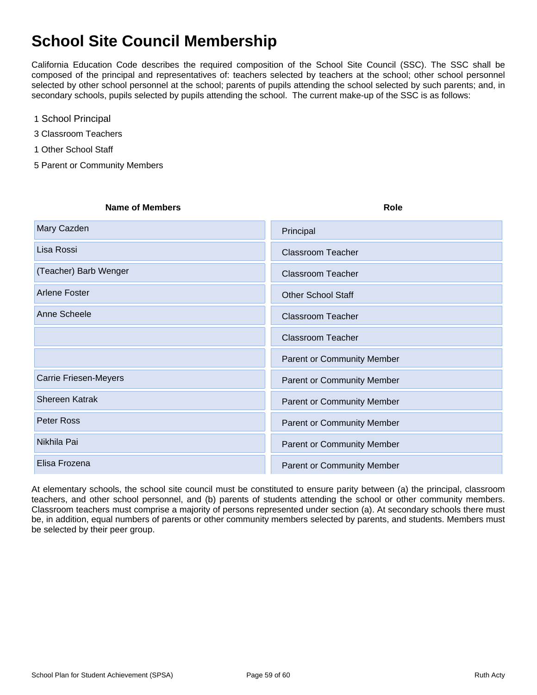## **School Site Council Membership**

California Education Code describes the required composition of the School Site Council (SSC). The SSC shall be composed of the principal and representatives of: teachers selected by teachers at the school; other school personnel selected by other school personnel at the school; parents of pupils attending the school selected by such parents; and, in secondary schools, pupils selected by pupils attending the school. The current make-up of the SSC is as follows:

- 1 School Principal
- 3 Classroom Teachers
- 1 Other School Staff
- 5 Parent or Community Members

| <b>Name of Members</b>       | Role                              |
|------------------------------|-----------------------------------|
| Mary Cazden                  | Principal                         |
| Lisa Rossi                   | <b>Classroom Teacher</b>          |
| (Teacher) Barb Wenger        | <b>Classroom Teacher</b>          |
| <b>Arlene Foster</b>         | <b>Other School Staff</b>         |
| Anne Scheele                 | <b>Classroom Teacher</b>          |
|                              | <b>Classroom Teacher</b>          |
|                              | <b>Parent or Community Member</b> |
| <b>Carrie Friesen-Meyers</b> | <b>Parent or Community Member</b> |
| <b>Shereen Katrak</b>        | <b>Parent or Community Member</b> |
| Peter Ross                   | <b>Parent or Community Member</b> |
| Nikhila Pai                  | <b>Parent or Community Member</b> |
| Elisa Frozena                | <b>Parent or Community Member</b> |

At elementary schools, the school site council must be constituted to ensure parity between (a) the principal, classroom teachers, and other school personnel, and (b) parents of students attending the school or other community members. Classroom teachers must comprise a majority of persons represented under section (a). At secondary schools there must be, in addition, equal numbers of parents or other community members selected by parents, and students. Members must be selected by their peer group.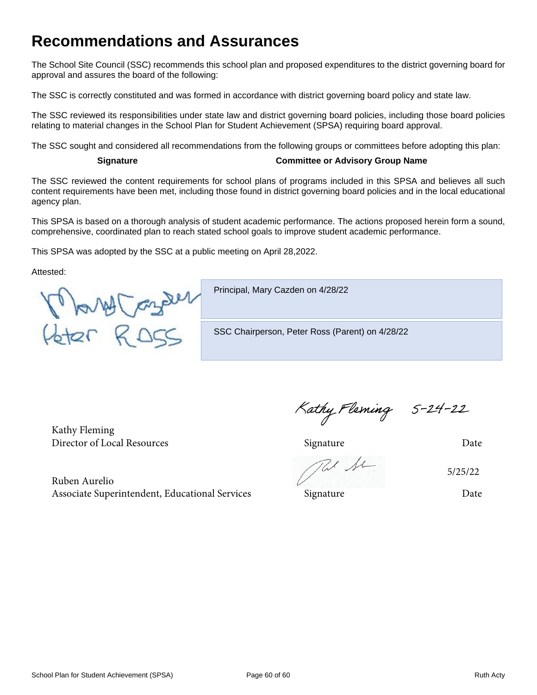## **Recommendations and Assurances**

The School Site Council (SSC) recommends this school plan and proposed expenditures to the district governing board for approval and assures the board of the following:

The SSC is correctly constituted and was formed in accordance with district governing board policy and state law.

The SSC reviewed its responsibilities under state law and district governing board policies, including those board policies relating to material changes in the School Plan for Student Achievement (SPSA) requiring board approval.

The SSC sought and considered all recommendations from the following groups or committees before adopting this plan:

#### **Signature Committee or Advisory Group Name**

The SSC reviewed the content requirements for school plans of programs included in this SPSA and believes all such content requirements have been met, including those found in district governing board policies and in the local educational agency plan.

This SPSA is based on a thorough analysis of student academic performance. The actions proposed herein form a sound, comprehensive, coordinated plan to reach stated school goals to improve student academic performance.

This SPSA was adopted by the SSC at a public meeting on April 28,2022.

Attested:

Many Cander

Principal, Mary Cazden on 4/28/22

SSC Chairperson, Peter Ross (Parent) on 4/28/22

Kathy Fleming Director of Local Resources Signature Date

Ruben Aurelio Associate Superintendent, Educational Services Signature Signature Date

Kathy Fleming 5-24-22

5/25/22

School Plan for Student Achievement (SPSA) Page 60 of 60 Ruth Acty Page 60 and Ruth Acty